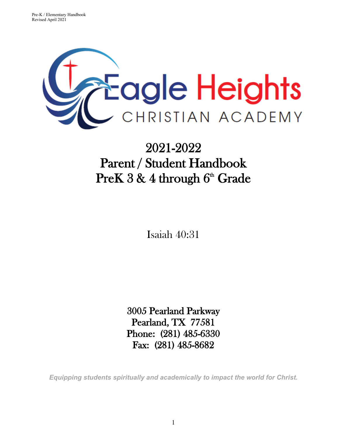

# 2021-2022 Parent / Student Handbook  $Pre K\,3\,\&\,4$  through  $6^{\text{\tiny th}}$  Grade

Isaiah 40:31

3005 Pearland Parkway Pearland, TX 77581 Phone: (281) 485-6330 Fax: (281) 485-8682

*Equipping students spiritually and academically to impact the world for Christ.*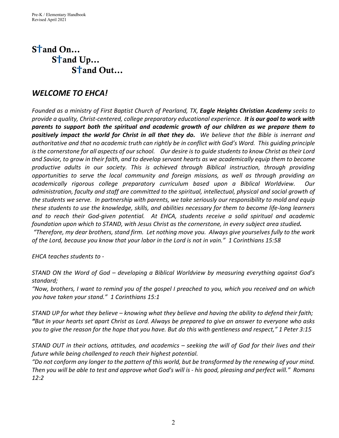## $S<sup>+</sup>$  and  $On...$ S<sup>t</sup>and Up... S<sup>t</sup>and Out...

## *WELCOME TO EHCA!*

*Founded as a ministry of First Baptist Church of Pearland, TX, Eagle Heights Christian Academy seeks to provide a quality, Christ-centered, college preparatory educational experience. It is our goal to work with parents to support both the spiritual and academic growth of our children as we prepare them to positively impact the world for Christ in all that they do. We believe that the Bible is inerrant and authoritative and that no academic truth can rightly be in conflict with God's Word. This guiding principle is the cornerstone for all aspects of our school. Our desire is to guide students to know Christ as their Lord and Savior, to grow in their faith, and to develop servant hearts as we academically equip them to become productive adults in our society. This is achieved through Biblical instruction, through providing opportunities to serve the local community and foreign missions, as well as through providing an academically rigorous college preparatory curriculum based upon a Biblical Worldview. Our administration, faculty and staff are committed to the spiritual, intellectual, physical and social growth of the students we serve. In partnership with parents, we take seriously our responsibility to mold and equip these students to use the knowledge, skills, and abilities necessary for them to become life-long learners and to reach their God-given potential. At EHCA, students receive a solid spiritual and academic foundation upon which to STAND, with Jesus Christ as the cornerstone, in every subject area studied.* 

*"Therefore, my dear brothers, stand firm. Let nothing move you. Always give yourselves fully to the work of the Lord, because you know that your labor in the Lord is not in vain." 1 Corinthians 15:58*

*EHCA teaches students to -*

*STAND ON the Word of God – developing a Biblical Worldview by measuring everything against God's standard;* 

*"Now, brothers, I want to remind you of the gospel I preached to you, which you received and on which you have taken your stand." 1 Corinthians 15:1*

*STAND UP for what they believe – knowing what they believe and having the ability to defend their faith; "But in your hearts set apart Christ as Lord. Always be prepared to give an answer to everyone who asks you to give the reason for the hope that you have. But do this with gentleness and respect," 1 Peter 3:15*

*STAND OUT in their actions, attitudes, and academics – seeking the will of God for their lives and their future while being challenged to reach their highest potential.* 

*"Do not conform any longer to the pattern of this world, but be transformed by the renewing of your mind. Then you will be able to test and approve what God's will is - his good, pleasing and perfect will." Romans 12:2*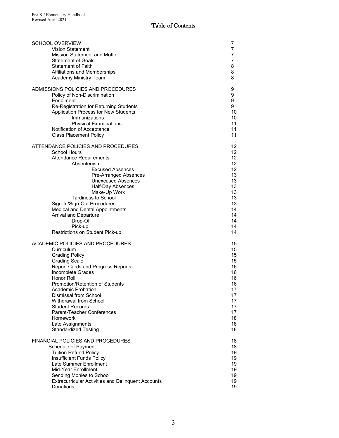| <b>SCHOOL OVERVIEW</b><br><b>Vision Statement</b><br>Mission Statement and Motto<br><b>Statement of Goals</b><br>Statement of Faith<br>Affiliations and Memberships<br>Academy Ministry Team                                                                                                                                                                                                                                                                | 7<br>7<br>7<br>$\overline{7}$<br>8<br>8<br>8                                                 |  |  |  |  |  |  |
|-------------------------------------------------------------------------------------------------------------------------------------------------------------------------------------------------------------------------------------------------------------------------------------------------------------------------------------------------------------------------------------------------------------------------------------------------------------|----------------------------------------------------------------------------------------------|--|--|--|--|--|--|
| ADMISSIONS POLICIES AND PROCEDURES<br>Policy of Non-Discrimination<br>Enrollment<br>Re-Registration for Returning Students<br>Application Process for New Students<br>Immunizations<br><b>Physical Examinations</b><br>Notification of Acceptance<br><b>Class Placement Policy</b>                                                                                                                                                                          |                                                                                              |  |  |  |  |  |  |
| ATTENDANCE POLICIES AND PROCEDURES<br>School Hours<br><b>Attendance Requirements</b><br>Absenteeism<br><b>Excused Absences</b><br>Pre-Arranged Absences<br><b>Unexcused Absences</b><br>Half-Day Absences<br>Make-Up Work<br><b>Tardiness to School</b><br>Sign-In/Sign-Out Procedures<br>Medical and Dental Appointments<br><b>Arrival and Departure</b><br>Drop-Off<br>Pick-up                                                                            |                                                                                              |  |  |  |  |  |  |
| Restrictions on Student Pick-up<br>ACADEMIC POLICIES AND PROCEDURES<br>Curriculum<br><b>Grading Policy</b><br><b>Grading Scale</b><br>Report Cards and Progress Reports<br>Incomplete Grades<br>Honor Roll<br>Promotion/Retention of Students<br><b>Academic Probation</b><br>Dismissal from School<br><b>Withdrawal from School</b><br><b>Student Records</b><br>Parent-Teacher Conferences<br>Homework<br>Late Assignments<br><b>Standardized Testing</b> | 15<br>15<br>15<br>15<br>16<br>16<br>16<br>16<br>17<br>17<br>17<br>17<br>17<br>18<br>18<br>18 |  |  |  |  |  |  |
| <b>FINANCIAL POLICIES AND PROCEDURES</b><br>Schedule of Payment<br><b>Tuition Refund Policy</b><br>Insufficient Funds Policy<br>Late Summer Enrollment<br>Mid-Year Enrollment<br>Sending Monies to School<br><b>Extracurricular Activities and Delinquent Accounts</b><br>Donations                                                                                                                                                                         | 18<br>18<br>19<br>19<br>19<br>19<br>19<br>19<br>19                                           |  |  |  |  |  |  |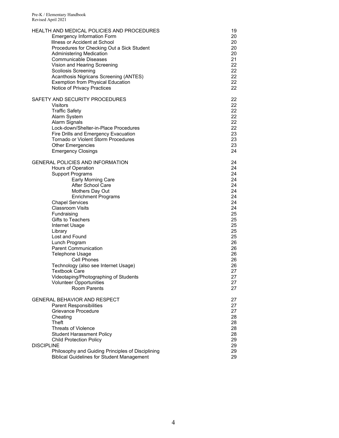| HEALTH AND MEDICAL POLICIES AND PROCEDURES        | 19 |
|---------------------------------------------------|----|
| <b>Emergency Information Form</b>                 | 20 |
| Illness or Accident at School                     | 20 |
| Procedures for Checking Out a Sick Student        | 20 |
| <b>Administering Medication</b>                   | 20 |
| Communicable Diseases                             | 21 |
| Vision and Hearing Screening                      | 22 |
| <b>Scoliosis Screening</b>                        | 22 |
| Acanthosis Nigricans Screening (ANTES)            | 22 |
| <b>Exemption from Physical Education</b>          | 22 |
| Notice of Privacy Practices                       | 22 |
| SAFETY AND SECURITY PROCEDURES                    | 22 |
| <b>Visitors</b>                                   | 22 |
| <b>Traffic Safety</b>                             | 22 |
| Alarm System                                      | 22 |
| Alarm Signals                                     | 22 |
| Lock-down/Shelter-in-Place Procedures             | 22 |
| Fire Drills and Emergency Evacuation              | 23 |
| Tornado or Violent Storm Procedures               | 23 |
| <b>Other Emergencies</b>                          | 23 |
| <b>Emergency Closings</b>                         | 24 |
| <b>GENERAL POLICIES AND INFORMATION</b>           | 24 |
| Hours of Operation                                | 24 |
| <b>Support Programs</b>                           | 24 |
| Early Morning Care                                | 24 |
| After School Care                                 | 24 |
| Mothers Day Out                                   | 24 |
| <b>Enrichment Programs</b>                        | 24 |
| <b>Chapel Services</b>                            | 24 |
| <b>Classroom Visits</b>                           | 24 |
| Fundraising                                       | 25 |
| <b>Gifts to Teachers</b>                          | 25 |
| Internet Usage                                    | 25 |
| Library                                           | 25 |
| Lost and Found                                    | 25 |
| Lunch Program                                     | 26 |
| <b>Parent Communication</b>                       | 26 |
| Telephone Usage                                   | 26 |
| Cell Phones                                       | 26 |
| Technology (also see Internet Usage)              | 26 |
| <b>Textbook Care</b>                              | 27 |
| Videotaping/Photographing of Students             | 27 |
| <b>Volunteer Opportunities</b>                    | 27 |
| <b>Room Parents</b>                               | 27 |
| GENERAL BEHAVIOR AND RESPECT                      | 27 |
| <b>Parent Responsibilities</b>                    | 27 |
| Grievance Procedure                               | 27 |
| Cheating                                          | 28 |
| Theft                                             | 28 |
| <b>Threats of Violence</b>                        | 28 |
| <b>Student Harassment Policy</b>                  | 28 |
| <b>Child Protection Policy</b>                    | 29 |
| <b>DISCIPLINE</b>                                 | 29 |
| Philosophy and Guiding Principles of Disciplining | 29 |
| <b>Biblical Guidelines for Student Management</b> | 29 |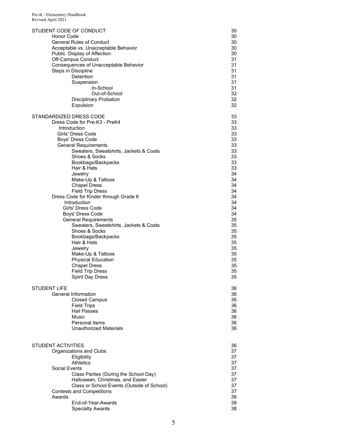| STUDENT CODE OF CONDUCT                    | 30 |
|--------------------------------------------|----|
| Honor Code                                 | 30 |
| <b>General Rules of Conduct</b>            | 30 |
| Acceptable vs. Unacceptable Behavior       | 30 |
| Public Display of Affection                | 30 |
| Off-Campus Conduct                         | 31 |
| Consequences of Unacceptable Behavior      | 31 |
| Steps in Discipline                        | 31 |
| Detention                                  | 31 |
| Suspension                                 | 31 |
| In-School                                  | 31 |
| Out-of-School                              | 32 |
| <b>Disciplinary Probation</b>              | 32 |
| Expulsion                                  | 32 |
| STANDARDIZED DRESS CODE                    | 33 |
| Dress Code for Pre-K3 - PreK4              | 33 |
| Introduction                               | 33 |
| Girls' Dress Code                          | 33 |
| Boys' Dress Code                           | 33 |
| <b>General Requirements</b>                | 33 |
| Sweaters, Sweatshirts, Jackets & Coats     | 33 |
| Shoes & Socks                              | 33 |
| Bookbags/Backpacks                         | 33 |
| Hair & Hats                                | 33 |
| Jewelry                                    | 34 |
| Make-Up & Tattoos                          | 34 |
| <b>Chapel Dress</b>                        | 34 |
| <b>Field Trip Dress</b>                    | 34 |
| Dress Code for Kinder through Grade 6      | 34 |
| <b>Introduction</b>                        | 34 |
| Girls' Dress Code                          | 34 |
| Boys' Dress Code                           | 34 |
| <b>General Requirements</b>                | 35 |
| Sweaters, Sweatshirts, Jackets & Coats     | 35 |
| Shoes & Socks                              | 35 |
| Bookbags/Backpacks                         | 35 |
| Hair & Hats                                | 35 |
| Jewelry                                    | 35 |
| Make-Up & Tattoos                          | 35 |
| <b>Physical Education</b>                  | 35 |
| <b>Chapel Dress</b>                        | 35 |
| <b>Field Trip Dress</b>                    | 35 |
| <b>Spirit Day Dress</b>                    | 35 |
| <b>STUDENT LIFE</b>                        | 36 |
| General Information                        | 36 |
| <b>Closed Campus</b>                       | 36 |
| <b>Field Trips</b>                         | 36 |
| <b>Hall Passes</b>                         | 36 |
| Music                                      | 36 |
| Personal Items                             | 36 |
| <b>Unauthorized Materials</b>              | 36 |
| <b>STUDENT ACTIVITIES</b>                  | 36 |
| Organizations and Clubs                    | 37 |
| Eligibility                                | 37 |
| <b>Athletics</b>                           | 37 |
| Social Events                              | 37 |
| Class Parties (During the School Day)      | 37 |
| Halloween, Christmas, and Easter           | 37 |
| Class or School Events (Outside of School) | 37 |
| <b>Contests and Competitions</b>           | 37 |
| Awards                                     | 38 |
| End-of-Year-Awards                         | 38 |
| <b>Specialty Awards</b>                    | 38 |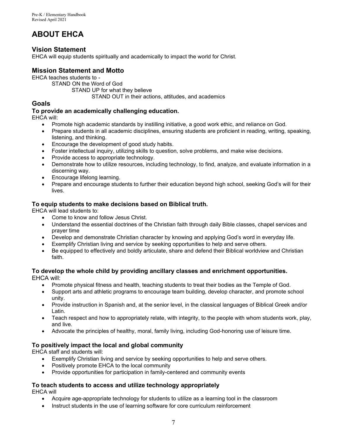## **ABOUT EHCA**

## **Vision Statement**

EHCA will equip students spiritually and academically to impact the world for Christ.

## **Mission Statement and Motto**

EHCA teaches students to -

STAND ON the Word of God

STAND UP for what they believe

STAND OUT in their actions, attitudes, and academics

## **Goals**

## **To provide an academically challenging education.**

EHCA will:

- Promote high academic standards by instilling initiative, a good work ethic, and reliance on God.
- Prepare students in all academic disciplines, ensuring students are proficient in reading, writing, speaking, listening, and thinking.
- Encourage the development of good study habits.
- Foster intellectual inquiry, utilizing skills to question, solve problems, and make wise decisions.
- Provide access to appropriate technology.
- Demonstrate how to utilize resources, including technology, to find, analyze, and evaluate information in a discerning way.
- Encourage lifelong learning.
- Prepare and encourage students to further their education beyond high school, seeking God's will for their lives.

## **To equip students to make decisions based on Biblical truth.**

EHCA will lead students to:

- Come to know and follow Jesus Christ.
- Understand the essential doctrines of the Christian faith through daily Bible classes, chapel services and prayer time
- Develop and demonstrate Christian character by knowing and applying God's word in everyday life.
- Exemplify Christian living and service by seeking opportunities to help and serve others.
- Be equipped to effectively and boldly articulate, share and defend their Biblical worldview and Christian faith.

#### **To develop the whole child by providing ancillary classes and enrichment opportunities.**  EHCA will:

- Promote physical fitness and health, teaching students to treat their bodies as the Temple of God.
- Support arts and athletic programs to encourage team building, develop character, and promote school unity.
- Provide instruction in Spanish and, at the senior level, in the classical languages of Biblical Greek and/or Latin.
- Teach respect and how to appropriately relate, with integrity, to the people with whom students work, play, and live.
- Advocate the principles of healthy, moral, family living, including God-honoring use of leisure time.

## **To positively impact the local and global community**

EHCA staff and students will:

- Exemplify Christian living and service by seeking opportunities to help and serve others.
- Positively promote EHCA to the local community
- Provide opportunities for participation in family-centered and community events

## **To teach students to access and utilize technology appropriately**

EHCA will

- Acquire age-appropriate technology for students to utilize as a learning tool in the classroom
- Instruct students in the use of learning software for core curriculum reinforcement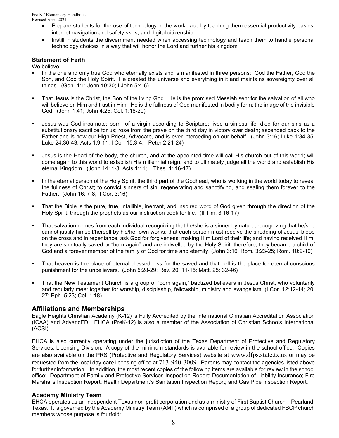- Prepare students for the use of technology in the workplace by teaching them essential productivity basics, internet navigation and safety skills, and digital citizenship
- Instill in students the discernment needed when accessing technology and teach them to handle personal technology choices in a way that will honor the Lord and further his kingdom

## **Statement of Faith**

We believe:

- In the one and only true God who eternally exists and is manifested in three persons: God the Father, God the Son, and God the Holy Spirit. He created the universe and everything in it and maintains sovereignty over all things. (Gen. 1:1; John 10:30; I John 5:4-6)
- That Jesus is the Christ, the Son of the living God. He is the promised Messiah sent for the salvation of all who will believe on Him and trust in Him. He is the fullness of God manifested in bodily form; the image of the invisible God. (John 1:41; John 4:25; Col. 1:18-20)
- Jesus was God incarnate; born of a virgin according to Scripture; lived a sinless life; died for our sins as a substitutionary sacrifice for us; rose from the grave on the third day in victory over death; ascended back to the Father and is now our High Priest, Advocate, and is ever interceding on our behalf. (John 3:16; Luke 1:34-35; Luke 24:36-43; Acts 1:9-11; I Cor. 15:3-4; I Peter 2:21-24)
- Jesus is the Head of the body, the church, and at the appointed time will call His church out of this world; will come again to this world to establish His millennial reign, and to ultimately judge all the world and establish His eternal Kingdom. (John 14: 1-3; Acts 1:11; I Thes. 4: 16-17)
- In the eternal person of the Holy Spirit, the third part of the Godhead, who is working in the world today to reveal the fullness of Christ; to convict sinners of sin; regenerating and sanctifying, and sealing them forever to the Father. (John 16: 7-8; I Cor. 3:16)
- That the Bible is the pure, true, infallible, inerrant, and inspired word of God given through the direction of the Holy Spirit, through the prophets as our instruction book for life. (II Tim. 3:16-17)
- That salvation comes from each individual recognizing that he/she is a sinner by nature; recognizing that he/she cannot justify himself/herself by his/her own works; that each person must receive the shedding of Jesus' blood on the cross and in repentance, ask God for forgiveness; making Him Lord of their life; and having received Him, they are spiritually saved or "born again" and are indwelled by the Holy Spirit; therefore, they became a child of God and a forever member of the family of God for time and eternity. (John 3:16; Rom. 3:23-25; Rom. 10:9-10)
- That heaven is the place of eternal blessedness for the saved and that hell is the place for eternal conscious punishment for the unbelievers. (John 5:28-29; Rev. 20: 11-15; Matt. 25: 32-46)
- That the New Testament Church is a group of "born again," baptized believers in Jesus Christ, who voluntarily and regularly meet together for worship, discipleship, fellowship, ministry and evangelism. (I Cor. 12:12-14; 20, 27; Eph. 5:23; Col. 1:18)

## **Affiliations and Memberships**

Eagle Heights Christian Academy (K-12) is Fully Accredited by the International Christian Accreditation Association (ICAA) and AdvancED. EHCA (PreK-12) is also a member of the Association of Christian Schools International (ACSI).

EHCA is also currently operating under the jurisdiction of the Texas Department of Protective and Regulatory Services, Licensing Division. A copy of the minimum standards is available for review in the school office. Copies are also available on the PRS (Protective and Regulatory Services) website at [www.dfps.state.tx.us](http://www.dfps.state.tx.us/) or may be requested from the local day-care licensing office at 713-940-3009. Parents may contact the agencies listed above for further information. In addition, the most recent copies of the following items are available for review in the school office: Department of Family and Protective Services Inspection Report; Documentation of Liability Insurance; Fire Marshal's Inspection Report; Health Department's Sanitation Inspection Report; and Gas Pipe Inspection Report.

#### **Academy Ministry Team**

EHCA operates as an independent Texas non-profit corporation and as a ministry of First Baptist Church—Pearland, Texas. It is governed by the Academy Ministry Team (AMT) which is comprised of a group of dedicated FBCP church members whose purpose is fourfold: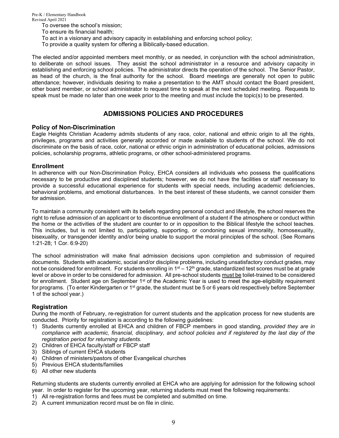- To oversee the school's mission;
- To ensure its financial health;
- To act in a visionary and advisory capacity in establishing and enforcing school policy;
- To provide a quality system for offering a Biblically-based education.

The elected and/or appointed members meet monthly, or as needed, in conjunction with the school administration, to deliberate on school issues. They assist the school administrator in a resource and advisory capacity in establishing and enforcing school policies. The administrator directs the operation of the school. The Senior Pastor, as head of the church, is the final authority for the school. Board meetings are generally not open to public attendance; however, individuals desiring to make a presentation to the AMT should contact the Board president, other board member, or school administrator to request time to speak at the next scheduled meeting. Requests to speak must be made no later than one week prior to the meeting and must include the topic(s) to be presented.

## **ADMISSIONS POLICIES AND PROCEDURES**

#### **Policy of Non-Discrimination**

Eagle Heights Christian Academy admits students of any race, color, national and ethnic origin to all the rights, privileges, programs and activities generally accorded or made available to students of the school. We do not discriminate on the basis of race, color, national or ethnic origin in administration of educational policies, admissions policies, scholarship programs, athletic programs, or other school-administered programs.

#### **Enrollment**

In adherence with our Non-Discrimination Policy, EHCA considers all individuals who possess the qualifications necessary to be productive and disciplined students; however, we do not have the facilities or staff necessary to provide a successful educational experience for students with special needs, including academic deficiencies, behavioral problems, and emotional disturbances. In the best interest of these students, we cannot consider them for admission.

To maintain a community consistent with its beliefs regarding personal conduct and lifestyle, the school reserves the right to refuse admission of an applicant or to discontinue enrollment of a student if the atmosphere or conduct within the home or the activities of the student are counter to or in opposition to the Biblical lifestyle the school teaches. This includes, but is not limited to, participating, supporting, or condoning sexual immorality, homosexuality, bisexuality, or transgender identity and/or being unable to support the moral principles of the school. (See Romans 1:21-28; 1 Cor. 6:9-20)

The school administration will make final admission decisions upon completion and submission of required documents. Students with academic, social and/or discipline problems, including unsatisfactory conduct grades, may not be considered for enrollment. For students enrolling in  $1^{st} - 12^{th}$  grade, standardized test scores must be at grade level or above in order to be considered for admission. All pre-school students must be toilet-trained to be considered for enrollment. Student age on September 1<sup>st</sup> of the Academic Year is used to meet the age-eligibility requirement for programs. (To enter Kindergarten or 1st grade, the student must be 5 or 6 years old respectively before September 1 of the school year.)

## **Registration**

During the month of February, re-registration for current students and the application process for new students are conducted. Priority for registration is according to the following guidelines:

- 1) Students currently enrolled at EHCA and children of FBCP members in good standing, *provided they are in compliance with academic, financial, disciplinary, and school policies and if registered by the last day of the registration period for returning students.*
- 2) Children of EHCA faculty/staff or FBCP staff
- 3) Siblings of current EHCA students
- 4) Children of ministers/pastors of other Evangelical churches
- 5) Previous EHCA students/families
- 6) All other new students

Returning students are students currently enrolled at EHCA who are applying for admission for the following school year. In order to register for the upcoming year, returning students must meet the following requirements:

- 1) All re-registration forms and fees must be completed and submitted on time.
- 2) A current immunization record must be on file in clinic.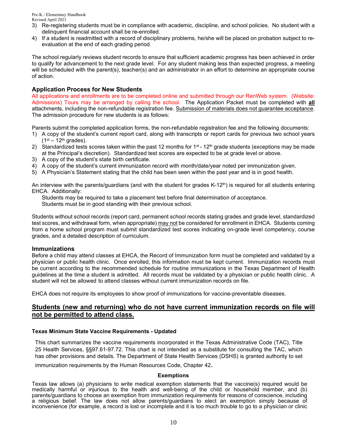- 3) Re-registering students must be in compliance with academic, discipline, and school policies. No student with a delinquent financial account shall be re-enrolled.
- 4) If a student is readmitted with a record of disciplinary problems, he/she will be placed on probation subject to reevaluation at the end of each grading period.

The school regularly reviews student records to ensure that sufficient academic progress has been achieved in order to qualify for advancement to the next grade level. For any student making less than expected progress, a meeting will be scheduled with the parent(s), teacher(s) and an administrator in an effort to determine an appropriate course of action.

#### **Application Process for New Students**

All applications and enrollments are to be completed online and submitted through our RenWeb system. (Website: Admissions) Tours may be arranged by calling the school. The Application Packet must be completed with **all** attachments, including the non-refundable registration fee. Submission of materials does not guarantee acceptance. The admission procedure for new students is as follows:

Parents submit the completed application forms, the non-refundable registration fee and the following documents:

- 1) A copy of the student's current report card, along with transcripts or report cards for previous two school years  $(1<sup>st</sup> - 12<sup>th</sup>$  grades).
- 2) Standardized tests scores taken within the past 12 months for  $1<sup>st</sup>$  12<sup>th</sup> grade students (exceptions may be made at the Principal's discretion). Standardized test scores are expected to be at grade level or above.
- 3) A copy of the student's state birth certificate.
- 4) A copy of the student's current immunization record with month/date/year noted per immunization given.
- 5) A Physician's Statement stating that the child has been seen within the past year and is in good health.

An interview with the parents/guardians (and with the student for grades K-12<sup>th</sup>) is required for all students entering EHCA. Additionally:

Students may be required to take a placement test before final determination of acceptance.

Students must be in good standing with their previous school.

Students without school records (report card, permanent school records stating grades and grade level, standardized test scores, and withdrawal form, when appropriate) may not be considered for enrollment in EHCA. Students coming from a home school program must submit standardized test scores indicating on-grade level competency, course grades, and a detailed description of curriculum.

#### **Immunizations**

Before a child may attend classes at EHCA, the Record of Immunization form must be completed and validated by a physician or public health clinic. Once enrolled, this information must be kept current. Immunization records must be current according to the recommended schedule for routine immunizations in the Texas Department of Health guidelines at the time a student is admitted. All records must be validated by a physician or public health clinic. A student will not be allowed to attend classes without current immunization records on file.

EHCA does not require its employees to show proof of immunizations for vaccine-preventable diseases.

## **Students (new and returning) who do not have current immunization records on file will not be permitted to attend class.**

#### **Texas Minimum State Vaccine Requirements - Updated**

This chart summarizes the vaccine requirements incorporated in the Texas Administrative Code (TAC), Title 25 Health Services, §§97.61-97.72. This chart is not intended as a substitute for consulting the TAC, which has other provisions and details. The Department of State Health Services (DSHS) is granted authority to set

immunization requirements by the Human Resources Code, Chapter 42.

#### **Exemptions**

Texas law allows (a) physicians to write medical exemption statements that the vaccine(s) required would be medically harmful or injurious to the health and well-being of the child or household member, and (b) parents/guardians to choose an exemption from immunization requirements for reasons of conscience, including a religious belief. The law does not allow parents/guardians to elect an exemption simply because of inconvenience (for example, a record is lost or incomplete and it is too much trouble to go to a physician or clinic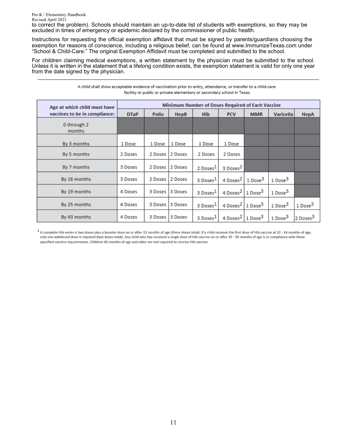to correct the problem). Schools should maintain an up-to-date list of students with exemptions, so they may be excluded in times of emergency or epidemic declared by the commissioner of public health.

Instructions for requesting the official exemption affidavit that must be signed by parents/guardians choosing the exemption for reasons of conscience, including a religious belief, can be found at [www.ImmunizeTexas.com u](http://www.immunizetexas.com/)nder "School & Child-Care." The original Exemption Affidavit must be completed and submitted to the school.

For children claiming medical exemptions, a written statement by the physician must be submitted to the school. Unless it is written in the statement that a lifelong condition exists, the exemption statement is valid for only one year from the date signed by the physician.

| A child shall show acceptable evidence of vaccination prior to entry, attendance, or transfer to a child-care |
|---------------------------------------------------------------------------------------------------------------|
| facility or public or private elementary or secondary school in Texas.                                        |

| Age at which child must have  |             | Minimum Number of Doses Required of Each Vaccine |                  |                      |                                          |            |                      |                      |  |  |  |  |  |
|-------------------------------|-------------|--------------------------------------------------|------------------|----------------------|------------------------------------------|------------|----------------------|----------------------|--|--|--|--|--|
| vaccines to be in compliance: | <b>DTaP</b> | Polio                                            | HepB             | <b>Hib</b>           | <b>PCV</b>                               | <b>MMR</b> | Varicella            | HepA                 |  |  |  |  |  |
| 0 through 2<br>months         |             |                                                  |                  |                      |                                          |            |                      |                      |  |  |  |  |  |
| By 3 months                   | 1 Dose      | 1 Dose                                           | 1 Dose           | 1 Dose               | 1 Dose                                   |            |                      |                      |  |  |  |  |  |
| By 5 months                   | 2 Doses     | 2 Doses                                          | 12 Doses         | 2 Doses              | 2 Doses                                  |            |                      |                      |  |  |  |  |  |
| By 7 months                   | 3 Doses     | 2 Doses                                          | 2 Doses          | 2 Doses <sup>1</sup> | 3 Doses <sup>2</sup>                     |            |                      |                      |  |  |  |  |  |
| By 16 months                  | 3 Doses     | 2 Doses                                          | 2 Doses          | 3 Doses <sup>1</sup> | 4 Doses <sup>2</sup> 1 Dose <sup>3</sup> |            | 1 Dose <sup>3</sup>  |                      |  |  |  |  |  |
| By 19 months                  | 4 Doses     |                                                  | 3 Doses 13 Doses | 3 Doses <sup>1</sup> | 4 Doses <sup>2</sup> 1 Dose <sup>3</sup> |            | 1 Dose <sup>3</sup>  |                      |  |  |  |  |  |
| By 25 months                  | 4 Doses     | 3 Doses                                          | 13 Doses         | 3 Doses <sup>1</sup> | 4 Doses <sup>2</sup> 1 Dose <sup>3</sup> |            | $1\,\mathrm{Dose}^3$ | 1 Dose <sup>3</sup>  |  |  |  |  |  |
| By 43 months                  | 4 Doses     | 3 Doses                                          | 3 Doses          | 3 Doses <sup>1</sup> | 4 Doses <sup>2</sup> 1 Dose <sup>3</sup> |            | 1 Dose <sup>3</sup>  | 2 Doses <sup>3</sup> |  |  |  |  |  |

1 A complete Hib series is two doses plus a booster dose on or after 12 months of age (three doses total). If a child receives the first dose of Hib vaccine at 12 - 14 months of age, only one additional dose is required (two doses total). Any child who has received a single dose of Hib vaccine on or after 15 - 59 months of age is in compliance with these specified vaccine requirements. Children 60 months of age and older are not required to receive Hib vaccine.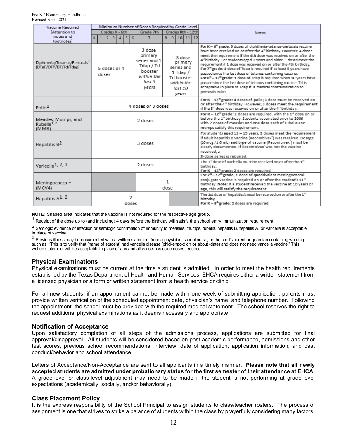| Vaccine Required                                                   |                         | Minimum Number of Doses Required by Grade Level |  |  |                                |                                                                                            |   |                                                                                                 |   |  |                                                                                                                                                   |                                                                                                                                                                                                                                                                                                                                                                                                                                                                                                                                                                                                                                                                                                                                                                                       |  |                                                                                                                                                                                                                                                                                                                                            |                                                                                                                                                                                                                                        |
|--------------------------------------------------------------------|-------------------------|-------------------------------------------------|--|--|--------------------------------|--------------------------------------------------------------------------------------------|---|-------------------------------------------------------------------------------------------------|---|--|---------------------------------------------------------------------------------------------------------------------------------------------------|---------------------------------------------------------------------------------------------------------------------------------------------------------------------------------------------------------------------------------------------------------------------------------------------------------------------------------------------------------------------------------------------------------------------------------------------------------------------------------------------------------------------------------------------------------------------------------------------------------------------------------------------------------------------------------------------------------------------------------------------------------------------------------------|--|--------------------------------------------------------------------------------------------------------------------------------------------------------------------------------------------------------------------------------------------------------------------------------------------------------------------------------------------|----------------------------------------------------------------------------------------------------------------------------------------------------------------------------------------------------------------------------------------|
| (Attention to                                                      | Grades K - 6th          |                                                 |  |  | Grade 7th<br>Grades 8th - 12th |                                                                                            |   |                                                                                                 |   |  | <b>Notes</b>                                                                                                                                      |                                                                                                                                                                                                                                                                                                                                                                                                                                                                                                                                                                                                                                                                                                                                                                                       |  |                                                                                                                                                                                                                                                                                                                                            |                                                                                                                                                                                                                                        |
| notes and                                                          |                         | 1 2 3 4 5                                       |  |  |                                |                                                                                            | 6 |                                                                                                 | 7 |  |                                                                                                                                                   | 8   9   10   11   12                                                                                                                                                                                                                                                                                                                                                                                                                                                                                                                                                                                                                                                                                                                                                                  |  |                                                                                                                                                                                                                                                                                                                                            |                                                                                                                                                                                                                                        |
| footnotes)                                                         |                         |                                                 |  |  |                                |                                                                                            |   |                                                                                                 |   |  |                                                                                                                                                   |                                                                                                                                                                                                                                                                                                                                                                                                                                                                                                                                                                                                                                                                                                                                                                                       |  |                                                                                                                                                                                                                                                                                                                                            |                                                                                                                                                                                                                                        |
| Diphtheria/Tetanus/Pertussis <sup>1</sup><br>(DTaP/DTP/DT/Td/Tdap) |                         | 5 doses or 4<br>doses                           |  |  |                                | 3 dose<br>primary<br>series and 1<br>Tdap / Td<br>booster<br>within the<br>last 5<br>years |   | 3 dose<br>primary<br>series and<br>$1$ Tdap $/$<br>Td booster<br>within the<br>last 10<br>vears |   |  |                                                                                                                                                   | For K - 6 <sup>th</sup> grade: 5 doses of diphtheria-tetanus-pertussis vaccine<br>have been received on or after the 4 <sup>th</sup> birthday. However, 4 doses<br>meet the requirement if the 4th dose was received on or after the<br>4th birthday. For students aged 7 years and older, 3 doses meet the<br>requirement if 1 dose was received on or after the 4th birthday.<br>For 7 <sup>th</sup> grade: 1 dose of Tdap is required if at least 5 years have<br>passed since the last dose of tetanus-containing vaccine.<br>For 8 <sup>th</sup> - 12 <sup>th</sup> grade: 1 dose of Tdap is required when 10 years have<br>passed since the last dose of tetanus-containing vaccine. Td is<br>acceptable in place of Tdap if a medical contraindication to<br>pertussis exists. |  |                                                                                                                                                                                                                                                                                                                                            |                                                                                                                                                                                                                                        |
| Polio <sup>1</sup>                                                 |                         | 4 doses or 3 doses                              |  |  |                                |                                                                                            |   |                                                                                                 |   |  |                                                                                                                                                   |                                                                                                                                                                                                                                                                                                                                                                                                                                                                                                                                                                                                                                                                                                                                                                                       |  |                                                                                                                                                                                                                                                                                                                                            | For K - 12 <sup>th</sup> grade: 4 doses of polio; 1 dose must be received on<br>or after the 4th birthday. However, 3 doses meet the requirement<br>if the 3 <sup>nd</sup> dose was received on or after the 4 <sup>th</sup> birthday. |
| Measles, Mumps, and<br>Rubella <sup>1, 2</sup><br>(MMR)            |                         | 2 doses                                         |  |  |                                |                                                                                            |   |                                                                                                 |   |  |                                                                                                                                                   |                                                                                                                                                                                                                                                                                                                                                                                                                                                                                                                                                                                                                                                                                                                                                                                       |  | For K - $12^{th}$ grade: 2 doses are required, with the $1^{\text{st}}$ dose on or<br>before the 1st birthday. Students vaccinated prior to 2009<br>with 2 doses of measles and one dose each of rubella and<br>mumps satisfy this requirement.                                                                                            |                                                                                                                                                                                                                                        |
| Hepatitis B <sup>2</sup>                                           |                         | 3 doses                                         |  |  |                                |                                                                                            |   |                                                                                                 |   |  |                                                                                                                                                   |                                                                                                                                                                                                                                                                                                                                                                                                                                                                                                                                                                                                                                                                                                                                                                                       |  | For students aged 11 - 15 years, 2 doses meet the requirement<br>if adult hepatitis B vaccine (Recombivax <sup>*</sup> ) was received. Dosage<br>(10mcg /1.0 mL) and type of vaccine (Recombivax <sup>"</sup> ) must be<br>clearly documented. If Recombivax <sup>7</sup> was not the vaccine<br>received, a<br>3-dose series is required. |                                                                                                                                                                                                                                        |
| Varicella <sup>1, 2, 3</sup>                                       |                         | 2 doses                                         |  |  |                                |                                                                                            |   |                                                                                                 |   |  |                                                                                                                                                   |                                                                                                                                                                                                                                                                                                                                                                                                                                                                                                                                                                                                                                                                                                                                                                                       |  | The 1 <sup>st</sup> dose of varicella must be received on or after the 1st<br>birthday.<br>For K - 12 <sup>th</sup> grade: 2 doses are required.                                                                                                                                                                                           |                                                                                                                                                                                                                                        |
| Meningococcal <sup>1</sup><br>(MCV4)                               |                         | 1.<br>dose                                      |  |  |                                |                                                                                            |   |                                                                                                 |   |  |                                                                                                                                                   | For 7 <sup>th</sup> - 12 <sup>th</sup> grade, 1 dose of quadrivalent meningococcal<br>conjugate vaccine is required on or after the student's 11th<br>birthday. Note: If a student received the vaccine at 10 years of<br>age, this will satisfy the requirement.                                                                                                                                                                                                                                                                                                                                                                                                                                                                                                                     |  |                                                                                                                                                                                                                                                                                                                                            |                                                                                                                                                                                                                                        |
| Hepatitis A <sup>1, 2</sup>                                        | $\overline{2}$<br>doses |                                                 |  |  |                                |                                                                                            |   |                                                                                                 |   |  | The 1st dose of hepatitis A must be received on or after the 1 <sup>st</sup><br>birthday.<br>For K - 8 <sup>th</sup> grade: 2 doses are required. |                                                                                                                                                                                                                                                                                                                                                                                                                                                                                                                                                                                                                                                                                                                                                                                       |  |                                                                                                                                                                                                                                                                                                                                            |                                                                                                                                                                                                                                        |

**NOTE:** Shaded area indicates that the vaccine is not required for the respective age group.

Receipt of the dose up to (and including) 4 days before the birthday will satisfy the school entry immunization requirement.

2 Serologic evidence of infection or serologic confirmation of immunity to measles, mumps, rubella, hepatitis B, hepatitis A, or varicella is acceptable in place of vaccine.

 $^3$  Previous illness may be documented with a written statement from a physician, school nurse, or the child's parent or guardian containing wording such as: "This is to verify that (name of student) had varicella disease (chickenpox) on or about (date) and does not need varicella vaccine." This written statement will be acceptable in place of any and all varicella vaccine doses required.

#### **Physical Examinations**

Physical examinations must be current at the time a student is admitted. In order to meet the health requirements established by the Texas Department of Health and Human Services, EHCA requires either a written statement from a licensed physician or a form or written statement from a health service or clinic.

For all new students, if an appointment cannot be made within one week of submitting application, parents must provide written verification of the scheduled appointment date, physician's name, and telephone number. Following the appointment, the school must be provided with the required medical statement. The school reserves the right to request additional physical examinations as it deems necessary and appropriate.

#### **Notification of Acceptance**

Upon satisfactory completion of all steps of the admissions process, applications are submitted for final approval/disapproval. All students will be considered based on past academic performance, admissions and other test scores, previous school recommendations, interview, date of application, application information, and past conduct/behavior and school attendance.

Letters of Acceptance/Non-Acceptance are sent to all applicants in a timely manner. **Please note that all newly accepted students are admitted under probationary status for the first semester of their attendance at EHCA**. A grade-level or class-level adjustment may need to be made if the student is not performing at grade-level expectations (academically, socially, and/or behaviorally).

#### **Class Placement Policy**

It is the express responsibility of the School Principal to assign students to class/teacher rosters. The process of assignment is one that strives to strike a balance of students within the class by prayerfully considering many factors,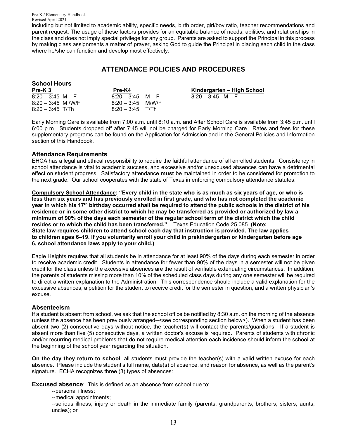including but not limited to academic ability, specific needs, birth order, girl/boy ratio, teacher recommendations and parent request. The usage of these factors provides for an equitable balance of needs, abilities, and relationships in the class and does not imply special privilege for any group. Parents are asked to support the Principal in this process by making class assignments a matter of prayer, asking God to guide the Principal in placing each child in the class where he/she can function and develop most effectively.

## **ATTENDANCE POLICIES AND PROCEDURES**

| <b>School Hours</b> |                     |                            |
|---------------------|---------------------|----------------------------|
| Pre-K <sub>3</sub>  | Pre-K4              | Kindergarten – High School |
| $8:20 - 3:45$ M – F | $8:20 - 3:45$ M – F | $8:20 - 3:45$ M – F        |
| $8:20 - 3:45$ M/W/F | $8:20 - 3:45$ M/W/F |                            |
| $8:20 - 3:45$ T/Th  | $8:20 - 3:45$ T/Th  |                            |

Early Morning Care is available from 7:00 a.m. until 8:10 a.m. and After School Care is available from 3:45 p.m. until 6:00 p.m. Students dropped off after 7:45 will not be charged for Early Morning Care. Rates and fees for these supplementary programs can be found on the Application for Admission and in the General Policies and Information section of this Handbook.

#### **Attendance Requirements**

EHCA has a legal and ethical responsibility to require the faithful attendance of all enrolled students. Consistency in school attendance is vital to academic success, and excessive and/or unexcused absences can have a detrimental effect on student progress. Satisfactory attendance **must** be maintained in order to be considered for promotion to the next grade. Our school cooperates with the state of Texas in enforcing compulsory attendance statutes.

**Compulsory School Attendance: "Every child in the state who is as much as six years of age, or who is less than six years and has previously enrolled in first grade, and who has not completed the academic year in which his 17th birthday occurred shall be required to attend the public schools in the district of his residence or in some other district to which he may be transferred as provided or authorized by law a minimum of 90% of the days each semester of the regular school term of the district which the child resides or to which the child has been transferred."** Texas Education Code 25.085 **(Note: State law requires children to attend school each day that instruction is provided. The law applies to children ages 6–19. If you voluntarily enroll your child in prekindergarten or kindergarten before age 6, school attendance laws apply to your child.)**

Eagle Heights requires that all students be in attendance for at least 90% of the days during each semester in order to receive academic credit. Students in attendance for fewer than 90% of the days in a semester will not be given credit for the class unless the excessive absences are the result of verifiable extenuating circumstances. In addition, the parents of students missing more than 10% of the scheduled class days during any one semester will be required to direct a written explanation to the Administration. This correspondence should include a valid explanation for the excessive absences, a petition for the student to receive credit for the semester in question, and a written physician's excuse.

#### **Absenteeism**

If a student is absent from school, we ask that the school office be notified by 8:30 a.m. on the morning of the absence (unless the absence has been previously arranged--<see corresponding section below>). When a student has been absent two (2) consecutive days without notice, the teacher(s) will contact the parents/guardians. If a student is absent more than five (5) consecutive days, a written doctor's excuse is required. Parents of students with chronic and/or recurring medical problems that do not require medical attention each incidence should inform the school at the beginning of the school year regarding the situation.

**On the day they return to school**, all students must provide the teacher(s) with a valid written excuse for each absence. Please include the student's full name, date(s) of absence, and reason for absence, as well as the parent's signature. ECHA recognizes three (3) types of absences:

**Excused absence**: This is defined as an absence from school due to:

--personal illness;

--medical appointments;

--serious illness, injury or death in the immediate family (parents, grandparents, brothers, sisters, aunts, uncles); or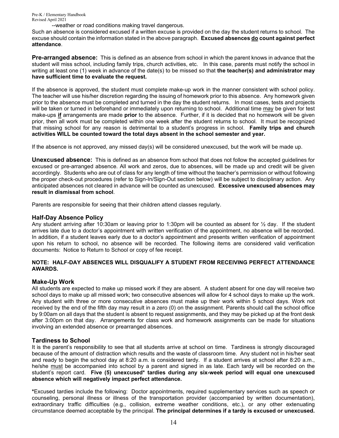--weather or road conditions making travel dangerous.

Such an absence is considered excused if a written excuse is provided on the day the student returns to school. The excuse should contain the information stated in the above paragraph. **Excused absences do count against perfect attendance**.

**Pre-arranged absence:** This is defined as an absence from school in which the parent knows in advance that the student will miss school, including family trips, church activities, etc. In this case, parents must notify the school in writing at least one (1) week in advance of the date(s) to be missed so that **the teacher(s) and administrator may have sufficient time to evaluate the request.**

If the absence is approved, the student must complete make-up work in the manner consistent with school policy. The teacher will use his/her discretion regarding the issuing of homework prior to this absence. Any homework given prior to the absence must be completed and turned in the day the student returns. In most cases, tests and projects will be taken or turned in beforehand or immediately upon returning to school. Additional time may be given for test make-ups **if** arrangements are made **prior** to the absence. Further, if it is decided that no homework will be given prior, then all work must be completed within one week after the student returns to school. It must be recognized that missing school for any reason is detrimental to a student's progress in school. **Family trips and church activities WILL be counted toward the total days absent in the school semester and year.**

If the absence is not approved, any missed day(s) will be considered unexcused, but the work will be made up.

**Unexcused absence:** This is defined as an absence from school that does not follow the accepted guidelines for excused or pre-arranged absence. All work and zeros, due to absences, will be made up and credit will be given accordingly. Students who are out of class for any length of time without the teacher's permission or without following the proper check-out procedures (refer to Sign-In/Sign-Out section below) will be subject to disciplinary action. Any anticipated absences not cleared in advance will be counted as unexcused. **Excessive unexcused absences may result in dismissal from school**.

Parents are responsible for seeing that their children attend classes regularly.

#### **Half-Day Absence Policy**

Any student arriving after 10:30am or leaving prior to 1:30pm will be counted as absent for ½ day. If the student arrives late due to a doctor's appointment with written verification of the appointment, no absence will be recorded. In addition, if a student leaves early due to a doctor's appointment and presents written verification of appointment upon his return to school, no absence will be recorded. The following items are considered valid verification documents: Notice to Return to School or copy of fee receipt.

#### **NOTE: HALF-DAY ABSENCES WILL DISQUALIFY A STUDENT FROM RECEIVING PERFECT ATTENDANCE AWARDS.**

#### **Make-Up Work**

All students are expected to make up missed work if they are absent. A student absent for one day will receive two school days to make up all missed work; two consecutive absences will allow for 4 school days to make up the work. Any student with three or more consecutive absences must make up their work within 5 school days. Work not received by the end of the fifth day may result in a zero (0) on the assignment. Parents should call the school office by 9:00am on all days that the student is absent to request assignments, and they may be picked up at the front desk after 3:00pm on that day. Arrangements for class work and homework assignments can be made for situations involving an extended absence or prearranged absences.

#### **Tardiness to School**

It is the parent's responsibility to see that all students arrive at school on time. Tardiness is strongly discouraged because of the amount of distraction which results and the waste of classroom time. Any student not in his/her seat and ready to begin the school day at 8:20 a.m. is considered tardy. If a student arrives at school after 8:20 a.m., he/she must be accompanied into school by a parent and signed in as late. Each tardy will be recorded on the student's report card. **Five (5) unexcused\* tardies during any six-week period will equal one unexcused absence which will negatively impact perfect attendance.**

**\***Excused tardies include the following: Doctor appointments, required supplementary services such as speech or counseling, personal illness or illness of the transportation provider (accompanied by written documentation), extraordinary traffic difficulties (e.g., collision, extreme weather conditions, etc.), or any other extenuating circumstance deemed acceptable by the principal. **The principal determines if a tardy is excused or unexcused.**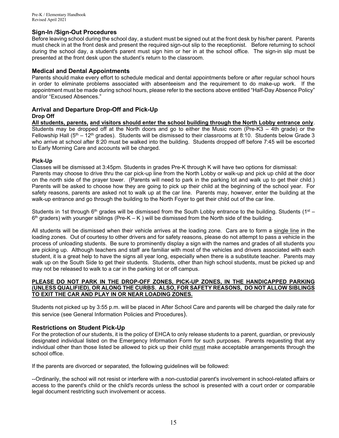#### **Sign-In /Sign-Out Procedures**

Before leaving school during the school day, a student must be signed out at the front desk by his/her parent. Parents must check in at the front desk and present the required sign-out slip to the receptionist. Before returning to school during the school day, a student's parent must sign him or her in at the school office. The sign-in slip must be presented at the front desk upon the student's return to the classroom.

#### **Medical and Dental Appointments**

Parents should make every effort to schedule medical and dental appointments before or after regular school hours in order to eliminate problems associated with absenteeism and the requirement to do make-up work. If the appointment must be made during school hours, please refer to the sections above entitled "Half-Day Absence Policy" and/or "Excused Absences."

#### **Arrival and Departure Drop-Off and Pick-Up Drop Off**

**All students, parents, and visitors should enter the school building through the North Lobby entrance only**. Students may be dropped off at the North doors and go to either the Music room (Pre-K3 – 4th grade) or the Fellowship Hall ( $5<sup>th</sup> - 12<sup>th</sup>$  grades). Students will be dismissed to their classrooms at 8:10. Students below Grade 3 who arrive at school after 8:20 must be walked into the building. Students dropped off before 7:45 will be escorted to Early Morning Care and accounts will be charged.

#### **Pick-Up**

Classes will be dismissed at 3:45pm. Students in grades Pre-K through K will have two options for dismissal: Parents may choose to drive thru the car pick-up line from the North Lobby or walk-up and pick up child at the door on the north side of the prayer tower. (Parents will need to park in the parking lot and walk up to get their child.) Parents will be asked to choose how they are going to pick up their child at the beginning of the school year. For safety reasons, parents are asked not to walk up at the car line. Parents may, however, enter the building at the walk-up entrance and go through the building to the North Foyer to get their child out of the car line.

Students in 1st through 6<sup>th</sup> grades will be dismissed from the South Lobby entrance to the building. Students (1<sup>st</sup> –  $6<sup>th</sup>$  graders) with younger siblings (Pre-K – K) will be dismissed from the North side of the building.

All students will be dismissed when their vehicle arrives at the loading zone. Cars are to form a single line in the loading zones. Out of courtesy to other drivers and for safety reasons, please do not attempt to pass a vehicle in the process of unloading students. Be sure to prominently display a sign with the names and grades of all students you are picking up. Although teachers and staff are familiar with most of the vehicles and drivers associated with each student, it is a great help to have the signs all year long, especially when there is a substitute teacher. Parents may walk up on the South Side to get their students. Students, other than high school students, must be picked up and may not be released to walk to a car in the parking lot or off campus.

#### **PLEASE DO NOT PARK IN THE DROP-OFF ZONES, PICK-UP ZONES, IN THE HANDICAPPED PARKING (UNLESS QUALIFIED), OR ALONG THE CURBS. ALSO, FOR SAFETY REASONS, DO NOT ALLOW SIBLINGS TO EXIT THE CAR AND PLAY IN OR NEAR LOADING ZONES.**

Students not picked up by 3:55 p.m. will be placed in After School Care and parents will be charged the daily rate for this service (see General Information Policies and Procedures).

#### **Restrictions on Student Pick-Up**

For the protection of our students, it is the policy of EHCA to only release students to a parent, guardian, or previously designated individual listed on the Emergency Information Form for such purposes. Parents requesting that any individual other than those listed be allowed to pick up their child must make acceptable arrangements through the school office.

If the parents are divorced or separated, the following guidelines will be followed:

--Ordinarily, the school will not resist or interfere with a non-custodial parent's involvement in school-related affairs or access to the parent's child or the child's records unless the school is presented with a court order or comparable legal document restricting such involvement or access.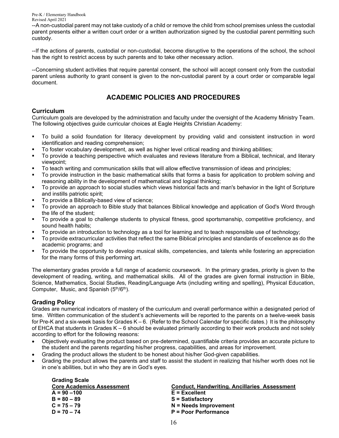--A non-custodial parent may not take custody of a child or remove the child from school premises unless the custodial parent presents either a written court order or a written authorization signed by the custodial parent permitting such custody.

--If the actions of parents, custodial or non-custodial, become disruptive to the operations of the school, the school has the right to restrict access by such parents and to take other necessary action.

--Concerning student activities that require parental consent, the school will accept consent only from the custodial parent unless authority to grant consent is given to the non-custodial parent by a court order or comparable legal document.

## **ACADEMIC POLICIES AND PROCEDURES**

## **Curriculum**

Curriculum goals are developed by the administration and faculty under the oversight of the Academy Ministry Team. The following objectives guide curricular choices at Eagle Heights Christian Academy:

- To build a solid foundation for literacy development by providing valid and consistent instruction in word identification and reading comprehension;
- To foster vocabulary development, as well as higher level critical reading and thinking abilities;
- To provide a teaching perspective which evaluates and reviews literature from a Biblical, technical, and literary viewpoint;
- To teach writing and communication skills that will allow effective transmission of ideas and principles;
- To provide instruction in the basic mathematical skills that forms a basis for application to problem solving and reasoning ability in the development of mathematical and logical thinking;
- To provide an approach to social studies which views historical facts and man's behavior in the light of Scripture and instills patriotic spirit;
- To provide a Biblically-based view of science;
- To provide an approach to Bible study that balances Biblical knowledge and application of God's Word through the life of the student;
- To provide a goal to challenge students to physical fitness, good sportsmanship, competitive proficiency, and sound health habits;
- To provide an introduction to technology as a tool for learning and to teach responsible use of technology;
- To provide extracurricular activities that reflect the same Biblical principles and standards of excellence as do the academic programs; and
- To provide the opportunity to develop musical skills, competencies, and talents while fostering an appreciation for the many forms of this performing art.

The elementary grades provide a full range of academic coursework. In the primary grades, priority is given to the development of reading, writing, and mathematical skills. All of the grades are given formal instruction in Bible, Science, Mathematics, Social Studies, Reading/Language Arts (including writing and spelling), Physical Education, Computer, Music, and Spanish (5<sup>th</sup>/6<sup>th</sup>).

## **Grading Policy**

Grades are numerical indicators of mastery of the curriculum and overall performance within a designated period of time. Written communication of the student's achievements will be reported to the parents on a twelve-week basis for Pre-K and a six-week basis for Grades  $K - 6$ . (Refer to the School Calendar for specific dates.) It is the philosophy of EHCA that students in Grades K – 6 should be evaluated primarily according to their work products and not solely according to effort for the following reasons:

- Objectively evaluating the product based on pre-determined, quantifiable criteria provides an accurate picture to the student and the parents regarding his/her progress, capabilities, and areas for improvement.
- Grading the product allows the student to be honest about his/her God-given capabilities.
- Grading the product allows the parents and staff to assist the student in realizing that his/her worth does not lie in one's abilities, but in who they are in God's eyes.

| <b>Grading Scale</b>             |                                                     |
|----------------------------------|-----------------------------------------------------|
| <b>Core Academics Assessment</b> | <b>Conduct, Handwriting. Ancillaries Assessment</b> |
| $A = 90 - 100$                   | $E = Excellent$                                     |
| $B = 80 - 89$                    | <b>S</b> = Satisfactory                             |
| $C = 75 - 79$                    | $N =$ Needs Improvement                             |
| $D = 70 - 74$                    | <b>P</b> = Poor Performance                         |
|                                  |                                                     |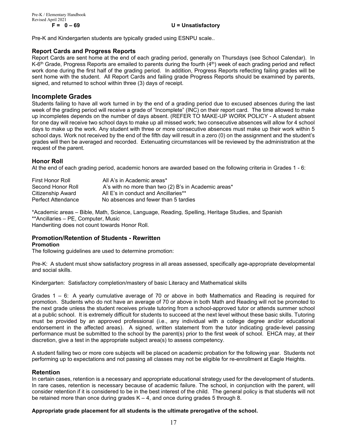#### **F = 0 – 69 U = Unsatisfactory**

Pre-K and Kindergarten students are typically graded using ESNPU scale..

#### **Report Cards and Progress Reports**

Report Cards are sent home at the end of each grading period, generally on Thursdays (see School Calendar). In K-6<sup>th</sup> Grade, Progress Reports are emailed to parents during the fourth (4<sup>th</sup>) week of each grading period and reflect work done during the first half of the grading period. In addition, Progress Reports reflecting failing grades will be sent home with the student. All Report Cards and failing grade Progress Reports should be examined by parents, signed, and returned to school within three (3) days of receipt.

#### **Incomplete Grades**

Students failing to have all work turned in by the end of a grading period due to excused absences during the last week of the grading period will receive a grade of "Incomplete" (INC) on their report card. The time allowed to make up incompletes depends on the number of days absent. (REFER TO MAKE-UP WORK POLICY - A student absent for one day will receive two school days to make up all missed work; two consecutive absences will allow for 4 school days to make up the work. Any student with three or more consecutive absences must make up their work within 5 school days. Work not received by the end of the fifth day will result in a zero (0) on the assignment and the student's grades will then be averaged and recorded. Extenuating circumstances will be reviewed by the administration at the request of the parent.

#### **Honor Roll**

At the end of each grading period, academic honors are awarded based on the following criteria in Grades 1 - 6:

| First Honor Roll   | All A's in Academic areas*                           |
|--------------------|------------------------------------------------------|
| Second Honor Roll  | A's with no more than two (2) B's in Academic areas* |
| Citizenship Award  | All E's in conduct and Ancillaries**                 |
| Perfect Attendance | No absences and fewer than 5 tardies                 |

\*Academic areas – Bible, Math, Science, Language, Reading, Spelling, Heritage Studies, and Spanish \*\*Ancillaries – PE, Computer, Music Handwriting does not count towards Honor Roll.

#### **Promotion/Retention of Students - Rewritten Promotion**

The following guidelines are used to determine promotion:

Pre-K: A student must show satisfactory progress in all areas assessed, specifically age-appropriate developmental and social skills.

Kindergarten: Satisfactory completion/mastery of basic Literacy and Mathematical skills

Grades 1 – 6: A yearly cumulative average of 70 or above in both Mathematics and Reading is required for promotion. Students who do not have an average of 70 or above in both Math and Reading will not be promoted to the next grade unless the student receives private tutoring from a school-approved tutor or attends summer school at a public school. It is extremely difficult for students to succeed at the next level without these basic skills. Tutoring must be provided by an approved professional (i.e., any individual with a college degree and/or educational endorsement in the affected areas). A signed, written statement from the tutor indicating grade-level passing performance must be submitted to the school by the parent(s) prior to the first week of school. EHCA may, at their discretion, give a test in the appropriate subject area(s) to assess competency.

A student failing two or more core subjects will be placed on academic probation for the following year. Students not performing up to expectations and not passing all classes may not be eligible for re-enrollment at Eagle Heights.

#### **Retention**

In certain cases, retention is a necessary and appropriate educational strategy used for the development of students. In rare cases, retention is necessary because of academic failure. The school, in conjunction with the parent, will consider retention if it is considered to be in the best interest of the child. The general policy is that students will not be retained more than once during grades  $K - 4$ , and once during grades 5 through 8.

#### **Appropriate grade placement for all students is the ultimate prerogative of the school.**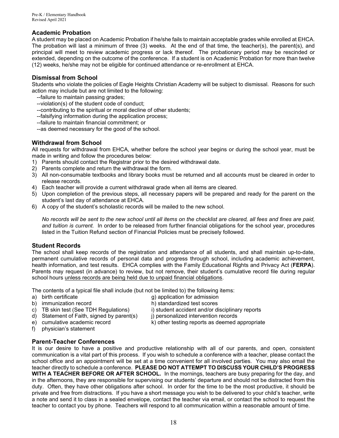## **Academic Probation**

A student may be placed on Academic Probation if he/she fails to maintain acceptable grades while enrolled at EHCA. The probation will last a minimum of three (3) weeks. At the end of that time, the teacher(s), the parent(s), and principal will meet to review academic progress or lack thereof. The probationary period may be rescinded or extended, depending on the outcome of the conference. If a student is on Academic Probation for more than twelve (12) weeks, he/she may not be eligible for continued attendance or re-enrollment at EHCA.

#### **Dismissal from School**

Students who violate the policies of Eagle Heights Christian Academy will be subject to dismissal. Reasons for such action may include but are not limited to the following:

- --failure to maintain passing grades;
- --violation(s) of the student code of conduct;
- --contributing to the spiritual or moral decline of other students;
- --falsifying information during the application process;
- --failure to maintain financial commitment; or
- --as deemed necessary for the good of the school.

## **Withdrawal from School**

All requests for withdrawal from EHCA, whether before the school year begins or during the school year, must be made in writing and follow the procedures below:

- 1) Parents should contact the Registrar prior to the desired withdrawal date.
- 2) Parents complete and return the withdrawal the form.
- 3) All non-consumable textbooks and library books must be returned and all accounts must be cleared in order to release records.
- 4) Each teacher will provide a current withdrawal grade when all items are cleared.
- 5) Upon completion of the previous steps, all necessary papers will be prepared and ready for the parent on the student's last day of attendance at EHCA.
- 6) A copy of the student's scholastic records will be mailed to the new school.

*No records will be sent to the new school until all items on the checklist are cleared, all fees and fines are paid, and tuition is current.* In order to be released from further financial obligations for the school year, procedures listed in the Tuition Refund section of Financial Policies must be precisely followed.

#### **Student Records**

The school shall keep records of the registration and attendance of all students, and shall maintain up-to-date, permanent cumulative records of personal data and progress through school, including academic achievement, health information, and test results. EHCA complies with the Family Educational Rights and Privacy Act (**FERPA**). Parents may request (in advance) to review, but not remove, their student's cumulative record file during regular school hours unless records are being held due to unpaid financial obligations.

The contents of a typical file shall include (but not be limited to) the following items:<br>a) birth certificate  $\alpha$  and item of application for admission

- 
- 
- g) application for admission
- b) immunization record h) standardized test scores<br>c) TB skin test (See TDH Regulations) i) student accident and/or disciplinary reports
- c) TB skin test (See TDH Regulations) i) student accident and/or disciplinare d) Statement of Faith, signed by parent(s) i) personalized intervention records d) Statement of Faith, signed by parent(s)
- 
- 
- e) cumulative academic record k) other testing reports as deemed appropriate
- f) physician's statement

## **Parent-Teacher Conferences**

It is our desire to have a positive and productive relationship with all of our parents, and open, consistent communication is a vital part of this process. If you wish to schedule a conference with a teacher, please contact the school office and an appointment will be set at a time convenient for all involved parties. You may also email the teacher directly to schedule a conference. **PLEASE DO NOT ATTEMPT TO DISCUSS YOUR CHILD'S PROGRESS WITH A TEACHER BEFORE OR AFTER SCHOOL.** In the mornings, teachers are busy preparing for the day, and in the afternoons, they are responsible for supervising our students' departure and should not be distracted from this duty. Often, they have other obligations after school. In order for the time to be the most productive, it should be private and free from distractions. If you have a short message you wish to be delivered to your child's teacher, write a note and send it to class in a sealed envelope, contact the teacher via email, or contact the school to request the teacher to contact you by phone. Teachers will respond to all communication within a reasonable amount of time.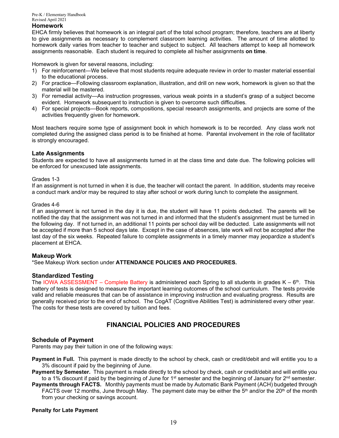#### **Homework**

EHCA firmly believes that homework is an integral part of the total school program; therefore, teachers are at liberty to give assignments as necessary to complement classroom learning activities. The amount of time allotted to homework daily varies from teacher to teacher and subject to subject. All teachers attempt to keep all homework assignments reasonable. Each student is required to complete all his/her assignments **on time**.

Homework is given for several reasons, including:

- 1) For reinforcement—We believe that most students require adequate review in order to master material essential to the educational process.
- 2) For practice—Following classroom explanation, illustration, and drill on new work, homework is given so that the material will be mastered.
- 3) For remedial activity—As instruction progresses, various weak points in a student's grasp of a subject become evident. Homework subsequent to instruction is given to overcome such difficulties.
- 4) For special projects—Book reports, compositions, special research assignments, and projects are some of the activities frequently given for homework.

Most teachers require some type of assignment book in which homework is to be recorded. Any class work not completed during the assigned class period is to be finished at home. Parental involvement in the role of facilitator is strongly encouraged.

#### **Late Assignments**

Students are expected to have all assignments turned in at the class time and date due. The following policies will be enforced for unexcused late assignments.

#### Grades 1-3

If an assignment is not turned in when it is due, the teacher will contact the parent. In addition, students may receive a conduct mark and/or may be required to stay after school or work during lunch to complete the assignment.

#### Grades 4-6

If an assignment is not turned in the day it is due, the student will have 11 points deducted. The parents will be notified the day that the assignment was not turned in and informed that the student's assignment must be turned in the following day. If not turned in, an additional 11 points per school day will be deducted. Late assignments will not be accepted if more than 5 school days late. Except in the case of absences, late work will not be accepted after the last day of the six weeks. Repeated failure to complete assignments in a timely manner may jeopardize a student's placement at EHCA.

#### **Makeup Work**

\*See Makeup Work section under **ATTENDANCE POLICIES AND PROCEDURES.**

#### **Standardized Testing**

The IOWA ASSESSMENT – Complete Battery is administered each Spring to all students in grades  $K - 6<sup>th</sup>$ . This battery of tests is designed to measure the important learning outcomes of the school curriculum. The tests provide valid and reliable measures that can be of assistance in improving instruction and evaluating progress. Results are generally received prior to the end of school. The CogAT (Cognitive Abilities Test) is administered every other year. The costs for these tests are covered by tuition and fees.

## **FINANCIAL POLICIES AND PROCEDURES**

#### **Schedule of Payment**

Parents may pay their tuition in one of the following ways:

**Payment in Full.** This payment is made directly to the school by check, cash or credit/debit and will entitle you to a 3% discount if paid by the beginning of June.

**Payment by Semester.** This payment is made directly to the school by check, cash or credit/debit and will entitle you to a 1% discount if paid by the beginning of June for 1<sup>st</sup> semester and the beginning of January for  $2^{nd}$  semester.

**Payments through FACTS.** Monthly payments must be made by Automatic Bank Payment (ACH) budgeted through FACTS over 12 months, June through May. The payment date may be either the  $5<sup>th</sup>$  and/or the 20<sup>th</sup> of the month from your checking or savings account.

#### **Penalty for Late Payment**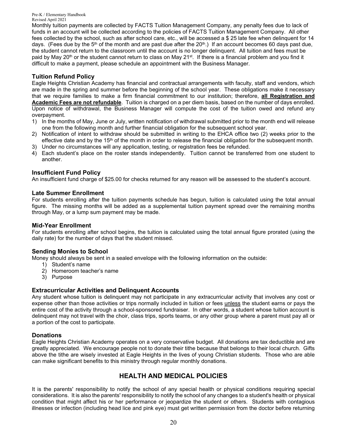Monthly tuition payments are collected by FACTS Tuition Management Company, any penalty fees due to lack of funds in an account will be collected according to the policies of FACTS Tuition Management Company. All other fees collected by the school, such as after school care, etc., will be accessed a \$ 25 late fee when delinquent for 14 days. (Fees due by the 5<sup>th</sup> of the month and are past due after the 20<sup>th</sup>.) If an account becomes 60 days past due, the student cannot return to the classroom until the account is no longer delinquent. All tuition and fees must be paid by May 20<sup>th</sup> or the student cannot return to class on May 21<sup>st</sup>. If there is a financial problem and you find it difficult to make a payment, please schedule an appointment with the Business Manager.

## **Tuition Refund Policy**

Eagle Heights Christian Academy has financial and contractual arrangements with faculty, staff and vendors, which are made in the spring and summer before the beginning of the school year. These obligations make it necessary that we require families to make a firm financial commitment to our institution; therefore, **all Registration and Academic Fees are not refundable**. Tuition is charged on a per diem basis, based on the number of days enrolled. Upon notice of withdrawal, the Business Manager will compute the cost of the tuition owed and refund any overpayment.

- 1) In the months of May, June or July, written notification of withdrawal submitted prior to the month end will release one from the following month and further financial obligation for the subsequent school year.
- 2) Notification of intent to withdraw should be submitted in writing to the EHCA office two (2) weeks prior to the effective date and by the 15<sup>th</sup> of the month in order to release the financial obligation for the subsequent month.
- 3) Under no circumstances will any application, testing, or registration fees be refunded.
- 4) Each student's place on the roster stands independently. Tuition cannot be transferred from one student to another.

#### **Insufficient Fund Policy**

An insufficient fund charge of \$25.00 for checks returned for any reason will be assessed to the student's account.

#### **Late Summer Enrollment**

For students enrolling after the tuition payments schedule has begun, tuition is calculated using the total annual figure. The missing months will be added as a supplemental tuition payment spread over the remaining months through May, or a lump sum payment may be made.

#### **Mid-Year Enrollment**

For students enrolling after school begins, the tuition is calculated using the total annual figure prorated (using the daily rate) for the number of days that the student missed.

#### **Sending Monies to School**

Money should always be sent in a sealed envelope with the following information on the outside:

- 1) Student's name
- 2) Homeroom teacher's name
- 3) Purpose

#### **Extracurricular Activities and Delinquent Accounts**

Any student whose tuition is delinquent may not participate in any extracurricular activity that involves any cost or expense other than those activities or trips normally included in tuition or fees unless the student earns or pays the entire cost of the activity through a school-sponsored fundraiser. In other words, a student whose tuition account is delinquent may not travel with the choir, class trips, sports teams, or any other group where a parent must pay all or a portion of the cost to participate.

#### **Donations**

Eagle Heights Christian Academy operates on a very conservative budget. All donations are tax deductible and are greatly appreciated. We encourage people not to donate their tithe because that belongs to their local church. Gifts above the tithe are wisely invested at Eagle Heights in the lives of young Christian students. Those who are able can make significant benefits to this ministry through regular monthly donations.

## **HEALTH AND MEDICAL POLICIES**

It is the parents' responsibility to notify the school of any special health or physical conditions requiring special considerations. It is also the parents' responsibility to notify the school of any changes to a student's health or physical condition that might affect his or her performance or jeopardize the student or others. Students with contagious illnesses or infection (including head lice and pink eye) must get written permission from the doctor before returning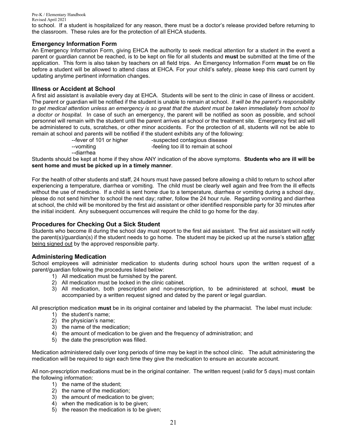to school. If a student is hospitalized for any reason, there must be a doctor's release provided before returning to the classroom. These rules are for the protection of all EHCA students.

#### **Emergency Information Form**

An Emergency Information Form, giving EHCA the authority to seek medical attention for a student in the event a parent or guardian cannot be reached, is to be kept on file for all students and **must** be submitted at the time of the application. This form is also taken by teachers on all field trips. An Emergency Information Form **must** be on file before a student will be allowed to attend class at EHCA. For your child's safety, please keep this card current by updating anytime pertinent information changes.

#### **Illness or Accident at School**

A first aid assistant is available every day at EHCA. Students will be sent to the clinic in case of illness or accident. The parent or guardian will be notified if the student is unable to remain at school. *It will be the parent's responsibility to get medical attention unless an emergency is so great that the student must be taken immediately from school to a doctor or hospital*. In case of such an emergency, the parent will be notified as soon as possible, and school personnel will remain with the student until the parent arrives at school or the treatment site. Emergency first aid will be administered to cuts, scratches, or other minor accidents. For the protection of all, students will not be able to remain at school and parents will be notified if the student exhibits any of the following:

-vomiting -vomiting -feeling too ill to remain at school

--fever of 101 or higher -suspected contagious disease

--diarrhea

Students should be kept at home if they show ANY indication of the above symptoms. **Students who are ill will be sent home and must be picked up in a timely manner**.

For the health of other students and staff, 24 hours must have passed before allowing a child to return to school after experiencing a temperature, diarrhea or vomiting. The child must be clearly well again and free from the ill effects without the use of medicine. If a child is sent home due to a temperature, diarrhea or vomiting during a school day, please do not send him/her to school the next day; rather, follow the 24 hour rule. Regarding vomiting and diarrhea at school, the child will be monitored by the first aid assistant or other identified responsible party for 30 minutes after the initial incident. Any subsequent occurrences will require the child to go home for the day.

#### **Procedures for Checking Out a Sick Student**

Students who become ill during the school day must report to the first aid assistant. The first aid assistant will notify the parent(s)/guardian(s) if the student needs to go home. The student may be picked up at the nurse's station after being signed out by the approved responsible party.

#### **Administering Medication**

School employees will administer medication to students during school hours upon the written request of a parent/guardian following the procedures listed below:

- 1) All medication must be furnished by the parent.
- 2) All medication must be locked in the clinic cabinet.
- 3) All medication, both prescription and non-prescription, to be administered at school, **must** be accompanied by a written request signed and dated by the parent or legal guardian.

All prescription medication **must** be in its original container and labeled by the pharmacist. The label must include:

- 1) the student's name;
- 2) the physician's name;
- 3) the name of the medication;
- 4) the amount of medication to be given and the frequency of administration; and
- 5) the date the prescription was filled.

Medication administered daily over long periods of time may be kept in the school clinic. The adult administering the medication will be required to sign each time they give the medication to ensure an accurate account.

All non-prescription medications must be in the original container. The written request (valid for 5 days) must contain the following information:

- 1) the name of the student;
- 2) the name of the medication;
- 3) the amount of medication to be given;
- 4) when the medication is to be given;
- 5) the reason the medication is to be given;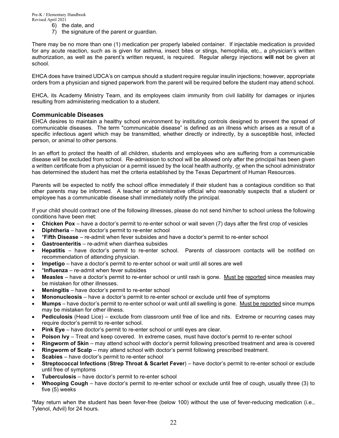- 6) the date, and
- 7) the signature of the parent or guardian.

There may be no more than one (1) medication per properly labeled container. If injectable medication is provided for any acute reaction, such as is given for asthma, insect bites or stings, hemophilia, etc., a physician's written authorization, as well as the parent's written request, is required. Regular allergy injections **will not** be given at school.

EHCA does have trained UDCA's on campus should a student require regular insulin injections; however, appropriate orders from a physician and signed paperwork from the parent will be required before the student may attend school.

EHCA, its Academy Ministry Team, and its employees claim immunity from civil liability for damages or injuries resulting from administering medication to a student.

#### **Communicable Diseases**

EHCA desires to maintain a healthy school environment by instituting controls designed to prevent the spread of communicable diseases. The term "communicable disease" is defined as an illness which arises as a result of a specific infectious agent which may be transmitted, whether directly or indirectly, by a susceptible host, infected person, or animal to other persons.

In an effort to protect the health of all children, students and employees who are suffering from a communicable disease will be excluded from school. Re-admission to school will be allowed only after the principal has been given a written certificate from a physician or a permit issued by the local health authority, or when the school administrator has determined the student has met the criteria established by the Texas Department of Human Resources.

Parents will be expected to notify the school office immediately if their student has a contagious condition so that other parents may be informed. A teacher or administrative official who reasonably suspects that a student or employee has a communicable disease shall immediately notify the principal.

If your child should contract one of the following illnesses, please do not send him/her to school unless the following conditions have been met:

- **Chicken Pox** have a doctor's permit to re-enter school or wait seven (7) days after the first crop of vesicles
- **Diphtheria** have doctor's permit to re-enter school
- \***Fifth Disease** re-admit when fever subsides and have a doctor's permit to re-enter school
- **Gastroenteritis** re-admit when diarrhea subsides
- **Hepatitis** have doctor's permit to re-enter school. Parents of classroom contacts will be notified on recommendation of attending physician.
- **Impetigo** have a doctor's permit to re-enter school or wait until all sores are well
- \***Influenza** re-admit when fever subsides
- **Measles** have a doctor's permit to re-enter school or until rash is gone. Must be reported since measles may be mistaken for other illnesses.
- **Meningitis** have doctor's permit to re-enter school
- **Mononucleosis** have a doctor's permit to re-enter school or exclude until free of symptoms
- **Mumps** have doctor's permit to re-enter school or wait until all swelling is gone. Must be reported since mumps may be mistaken for other illness.
- **Pediculosis** (Head Lice) exclude from classroom until free of lice and nits. Extreme or recurring cases may require doctor's permit to re-enter school.
- **Pink Eye** have doctor's permit to re-enter school or until eyes are clear.
- **Poison Ivy** Treat and keep covered. In extreme cases, must have doctor's permit to re-enter school
- **Ringworm of Skin** may attend school with doctor's permit following prescribed treatment and area is covered
- **Ringworm of Scalp** may attend school with doctor's permit following prescribed treatment.
- **Scabies** have doctor's permit to re-enter school
- **Streptococcal Infections** (**Strep Throat & Scarlet Fever**) have doctor's permit to re-enter school or exclude until free of symptoms
- **Tuberculosis** have doctor's permit to re-enter school
- **Whooping Cough** have doctor's permit to re-enter school or exclude until free of cough, usually three (3) to five (5) weeks

\*May return when the student has been fever-free (below 100) without the use of fever-reducing medication (i.e., Tylenol, Advil) for 24 hours.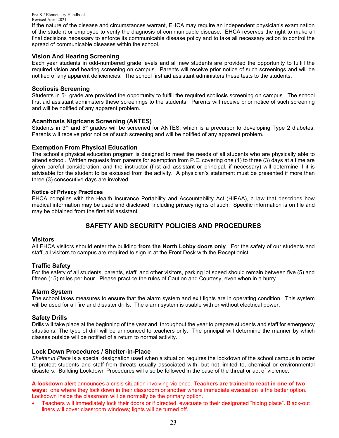If the nature of the disease and circumstances warrant, EHCA may require an independent physician's examination of the student or employee to verify the diagnosis of communicable disease. EHCA reserves the right to make all final decisions necessary to enforce its communicable disease policy and to take all necessary action to control the spread of communicable diseases within the school.

#### **Vision And Hearing Screening**

Each year students in odd-numbered grade levels and all new students are provided the opportunity to fulfill the required vision and hearing screening on campus. Parents will receive prior notice of such screenings and will be notified of any apparent deficiencies. The school first aid assistant administers these tests to the students.

#### **Scoliosis Screening**

Students in 5<sup>th</sup> grade are provided the opportunity to fulfill the required scoliosis screening on campus. The school first aid assistant administers these screenings to the students. Parents will receive prior notice of such screening and will be notified of any apparent problem.

#### **Acanthosis Nigricans Screening (ANTES)**

Students in 3<sup>rd</sup> and 5<sup>th</sup> grades will be screened for ANTES, which is a precursor to developing Type 2 diabetes. Parents will receive prior notice of such screening and will be notified of any apparent problem.

#### **Exemption From Physical Education**

The school's physical education program is designed to meet the needs of all students who are physically able to attend school. Written requests from parents for exemption from P.E. covering one (1) to three (3) days at a time are given careful consideration, and the instructor (first aid assistant or principal, if necessary) will determine if it is advisable for the student to be excused from the activity. A physician's statement must be presented if more than three (3) consecutive days are involved.

#### **Notice of Privacy Practices**

EHCA complies with the Health Insurance Portability and Accountability Act (HIPAA), a law that describes how medical information may be used and disclosed, including privacy rights of such. Specific information is on file and may be obtained from the first aid assistant.

## **SAFETY AND SECURITY POLICIES AND PROCEDURES**

#### **Visitors**

All EHCA visitors should enter the building **from the North Lobby doors only**. For the safety of our students and staff, all visitors to campus are required to sign in at the Front Desk with the Receptionist.

#### **Traffic Safety**

For the safety of all students, parents, staff, and other visitors, parking lot speed should remain between five (5) and fifteen (15) miles per hour. Please practice the rules of Caution and Courtesy, even when in a hurry.

#### **Alarm System**

The school takes measures to ensure that the alarm system and exit lights are in operating condition. This system will be used for all fire and disaster drills. The alarm system is usable with or without electrical power.

#### **Safety Drills**

Drills will take place at the beginning of the year and throughout the year to prepare students and staff for emergency situations. The type of drill will be announced to teachers only. The principal will determine the manner by which classes outside will be notified of a return to normal activity.

#### **Lock Down Procedures / Shelter-in-Place**

*Shelter in Place* is a special designation used when a situation requires the lockdown of the school campus in order to protect students and staff from threats usually associated with, but not limited to, chemical or environmental disasters. Building Lockdown Procedures will also be followed in the case of the threat or act of violence.

**A lockdown alert** announces a crisis situation involving violence. **Teachers are trained to react in one of two ways:** one where they lock down in their classroom or another where immediate evacuation is the better option. Lockdown inside the classroom will be normally be the primary option.

• Teachers will immediately lock their doors or if directed, evacuate to their designated "hiding place". Black-out liners will cover classroom windows; lights will be turned off.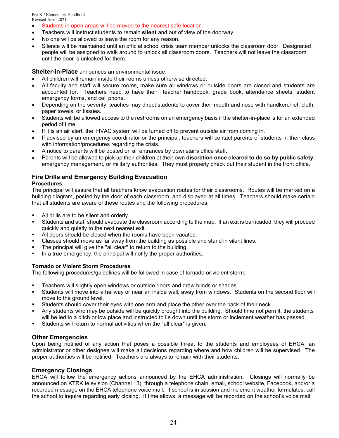- Students in open areas will be moved to the nearest safe location.
- Teachers will instruct students to remain **silent** and out of view of the doorway.
- No one will be allowed to leave the room for any reason.
- Silence will be maintained until an official school crisis team member unlocks the classroom door. Designated people will be assigned to walk around to unlock all classroom doors. Teachers will not leave the classroom until the door is unlocked for them.

**Shelter-in-Place** announces an environmental issue.

- All children will remain inside their rooms unless otherwise directed.
- All faculty and staff will secure rooms, make sure all windows or outside doors are closed and students are accounted for. Teachers need to have their teacher handbook, grade book, attendance sheets, student emergency forms, and cell phone.
- Depending on the severity, teaches may direct students to cover their mouth and nose with handkerchief, cloth, paper towels, or tissues.
- Students will be allowed access to the restrooms on an emergency basis if the shelter-in-place is for an extended period of time.
- If it is an air alert, the HVAC system will be turned off to prevent outside air from coming in.
- If advised by an emergency coordinator or the principal, teachers will contact parents of students in their class with information/procedures regarding the crisis.
- A notice to parents will be posted on all entrances by downstairs office staff.
- Parents will be allowed to pick up their children at their own **discretion once cleared to do so by public safety**, emergency management, or military authorities. They must properly check out their student in the front office.

## **Fire Drills and Emergency Building Evacuation**

#### **Procedures**

The principal will assure that all teachers know evacuation routes for their classrooms. Routes will be marked on a building diagram, posted by the door of each classroom, and displayed at all times. Teachers should make certain that all students are aware of these routes and the following procedures:

- All drills are to be silent and orderly.
- Students and staff should evacuate the classroom according to the map. If an exit is barricaded, they will proceed quickly and quietly to the next nearest exit.
- All doors should be closed when the rooms have been vacated.
- Classes should move as far away from the building as possible and stand in silent lines.
- The principal will give the "all clear" to return to the building.
- In a true emergency, the principal will notify the proper authorities.

#### **Tornado or Violent Storm Procedures**

The following procedures/guidelines will be followed in case of tornado or violent storm:

- **Teachers will slightly open windows or outside doors and draw blinds or shades.**
- Students will move into a hallway or near an inside wall, away from windows. Students on the second floor will move to the ground level.
- Students should cover their eyes with one arm and place the other over the back of their neck.
- Any students who may be outside will be quickly brought into the building. Should time not permit, the students will be led to a ditch or low place and instructed to lie down until the storm or inclement weather has passed.
- Students will return to normal activities when the "all clear" is given.

#### **Other Emergencies**

Upon being notified of any action that poses a possible threat to the students and employees of EHCA, an administrator or other designee will make all decisions regarding where and how children will be supervised. The proper authorities will be notified. Teachers are always to remain with their students.

#### **Emergency Closings**

EHCA will follow the emergency actions announced by the EHCA administration. Closings will normally be announced on KTRK television (Channel 13), through a telephone chain, email, school website, Facebook, and/or a recorded message on the EHCA telephone voice mail. If school is in session and inclement weather formulates, call the school to inquire regarding early closing. If time allows, a message will be recorded on the school's voice mail.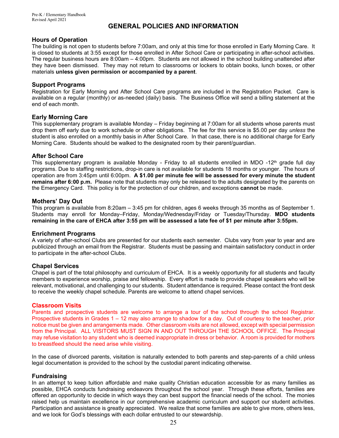## **GENERAL POLICIES AND INFORMATION**

### **Hours of Operation**

The building is not open to students before 7:00am, and only at this time for those enrolled in Early Morning Care. It is closed to students at 3:55 except for those enrolled in After School Care or participating in after-school activities. The regular business hours are 8:00am – 4:00pm. Students are not allowed in the school building unattended after they have been dismissed. They may not return to classrooms or lockers to obtain books, lunch boxes, or other materials **unless given permission or accompanied by a parent**.

#### **Support Programs**

Registration for Early Morning and After School Care programs are included in the Registration Packet. Care is available on a regular (monthly) or as-needed (daily) basis. The Business Office will send a billing statement at the end of each month.

#### **Early Morning Care**

This supplementary program is available Monday – Friday beginning at 7:00am for all students whose parents must drop them off early due to work schedule or other obligations. The fee for this service is \$5.00 per day *unless* the student is also enrolled on a monthly basis in After School Care. In that case, there is no additional charge for Early Morning Care. Students should be walked to the designated room by their parent/guardian.

#### **After School Care**

This supplementary program is available Monday - Friday to all students enrolled in MDO -12<sup>th</sup> grade full day programs. Due to staffing restrictions, drop-in care is not available for students 18 months or younger. The hours of operation are from 3:45pm until 6:00pm. **A \$1.00 per minute fee will be assessed for every minute the student remains after 6:00 p.m.** Please note that students may only be released to the adults designated by the parents on the Emergency Card. This policy is for the protection of our children, and exceptions **cannot** be made.

#### **Mothers' Day Out**

This program is available from 8:20am – 3:45 pm for children, ages 6 weeks through 35 months as of September 1. Students may enroll for Monday–Friday, Monday/Wednesday/Friday or Tuesday/Thursday. **MDO students remaining in the care of EHCA after 3:55 pm will be assessed a late fee of \$1 per minute after 3:55pm.**

#### **Enrichment Programs**

A variety of after-school Clubs are presented for our students each semester. Clubs vary from year to year and are publicized through an email from the Registrar. Students must be passing and maintain satisfactory conduct in order to participate in the after-school Clubs.

#### **Chapel Services**

Chapel is part of the total philosophy and curriculum of EHCA. It is a weekly opportunity for all students and faculty members to experience worship, praise and fellowship. Every effort is made to provide chapel speakers who will be relevant, motivational, and challenging to our students. Student attendance is required. Please contact the front desk to receive the weekly chapel schedule. Parents are welcome to attend chapel services.

#### **Classroom Visits**

Parents and prospective students are welcome to arrange a tour of the school through the school Registrar. Prospective students in Grades 1 – 12 may also arrange to shadow for a day. Out of courtesy to the teacher, prior notice must be given and arrangements made. Other classroom visits are not allowed, except with special permission from the Principal. ALL VISITORS MUST SIGN IN AND OUT THROUGH THE SCHOOL OFFICE. The Principal may refuse visitation to any student who is deemed inappropriate in dress or behavior. A room is provided for mothers to breastfeed should the need arise while visiting.

In the case of divorced parents, visitation is naturally extended to both parents and step-parents of a child unless legal documentation is provided to the school by the custodial parent indicating otherwise.

#### **Fundraising**

In an attempt to keep tuition affordable and make quality Christian education accessible for as many families as possible, EHCA conducts fundraising endeavors throughout the school year. Through these efforts, families are offered an opportunity to decide in which ways they can best support the financial needs of the school. The monies raised help us maintain excellence in our comprehensive academic curriculum and support our student activities. Participation and assistance is greatly appreciated. We realize that some families are able to give more, others less, and we look for God's blessings with each dollar entrusted to our stewardship.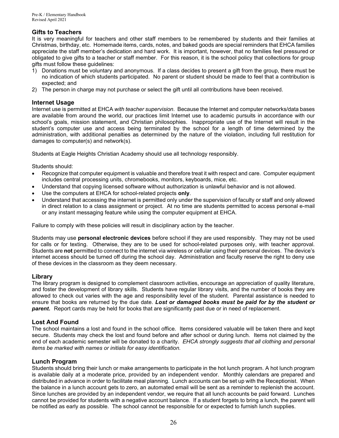## **Gifts to Teachers**

It is very meaningful for teachers and other staff members to be remembered by students and their families at Christmas, birthday, etc. Homemade items, cards, notes, and baked goods are special reminders that EHCA families appreciate the staff member's dedication and hard work. It is important, however, that no families feel pressured or obligated to give gifts to a teacher or staff member. For this reason, it is the school policy that collections for group gifts must follow these guidelines:

- 1) Donations must be voluntary and anonymous. If a class decides to present a gift from the group, there must be no indication of which students participated. No parent or student should be made to feel that a contribution is expected; and
- 2) The person in charge may not purchase or select the gift until all contributions have been received.

#### **Internet Usage**

Internet use is permitted at EHCA *with teacher supervision*. Because the Internet and computer networks/data bases are available from around the world, our practices limit Internet use to academic pursuits in accordance with our school's goals, mission statement, and Christian philosophies. Inappropriate use of the Internet will result in the student's computer use and access being terminated by the school for a length of time determined by the administration, with additional penalties as determined by the nature of the violation, including full restitution for damages to computer(s) and network(s).

Students at Eagle Heights Christian Academy should use all technology responsibly.

Students should:

- Recognize that computer equipment is valuable and therefore treat it with respect and care. Computer equipment includes central processing units, chromebooks, monitors, keyboards, mice, etc.
- Understand that copying licensed software without authorization is unlawful behavior and is not allowed.
- Use the computers at EHCA for school-related projects **only**.
- Understand that accessing the internet is permitted only under the supervision of faculty or staff and only allowed in direct relation to a class assignment or project. At no time are students permitted to access personal e-mail or any instant messaging feature while using the computer equipment at EHCA.

Failure to comply with these policies will result in disciplinary action by the teacher.

Students may use **personal electronic devices** before school if they are used responsibly. They may not be used for calls or for texting. Otherwise, they are to be used for school-related purposes only, with teacher approval. Students are **not** permitted to connect to the internet via wireless or cellular using their personal devices. The device's internet access should be turned off during the school day. Administration and faculty reserve the right to deny use of these devices in the classroom as they deem necessary.

#### **Library**

The library program is designed to complement classroom activities, encourage an appreciation of quality literature, and foster the development of library skills. Students have regular library visits, and the number of books they are allowed to check out varies with the age and responsibility level of the student. Parental assistance is needed to ensure that books are returned by the due date. *Lost or damaged books must be paid for by the student or parent***.** Report cards may be held for books that are significantly past due or in need of replacement.

#### **Lost And Found**

The school maintains a lost and found in the school office. Items considered valuable will be taken there and kept secure. Students may check the lost and found before and after school or during lunch. Items not claimed by the end of each academic semester will be donated to a charity. *EHCA strongly suggests that all clothing and personal items be marked with names or initials for easy identification.*

#### **Lunch Program**

Students should bring their lunch or make arrangements to participate in the hot lunch program. A hot lunch program is available daily at a moderate price, provided by an independent vendor. Monthly calendars are prepared and distributed in advance in order to facilitate meal planning. Lunch accounts can be set up with the Receptionist. When the balance in a lunch account gets to zero, an automated email will be sent as a reminder to replenish the account. Since lunches are provided by an independent vendor, we require that all lunch accounts be paid forward. Lunches cannot be provided for students with a negative account balance. If a student forgets to bring a lunch, the parent will be notified as early as possible. The school cannot be responsible for or expected to furnish lunch supplies.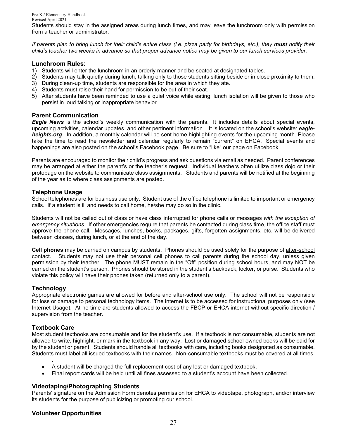Students should stay in the assigned areas during lunch times, and may leave the lunchroom only with permission from a teacher or administrator.

*If parents plan to bring lunch for their child's entire class (i.e. pizza party for birthdays, etc.), they must notify their child's teacher two weeks in advance so that proper advance notice may be given to our lunch services provider.*

#### **Lunchroom Rules:**

- 1) Students will enter the lunchroom in an orderly manner and be seated at designated tables.
- 2) Students may talk quietly during lunch, talking only to those students sitting beside or in close proximity to them.
- 3) During clean-up time, students are responsible for the area in which they ate.
- 4) Students must raise their hand for permission to be out of their seat.
- 5) After students have been reminded to use a quiet voice while eating, lunch isolation will be given to those who persist in loud talking or inappropriate behavior.

#### **Parent Communication**

*Eagle News* is the school's weekly communication with the parents. It includes details about special events, upcoming activities, calendar updates, and other pertinent information. It is located on the school's website: *eagleheights.org*. In addition, a monthly calendar will be sent home highlighting events for the upcoming month. Please take the time to read the newsletter and calendar regularly to remain "current" on EHCA. Special events and happenings are also posted on the school's Facebook page. Be sure to "like" our page on Facebook.

Parents are encouraged to monitor their child's progress and ask questions via email as needed. Parent conferences may be arranged at either the parent's or the teacher's request. Individual teachers often utilize class dojo or their protopage on the website to communicate class assignments. Students and parents will be notified at the beginning of the year as to where class assignments are posted.

#### **Telephone Usage**

School telephones are for business use only. Student use of the office telephone is limited to important or emergency calls. If a student is ill and needs to call home, he/she may do so in the clinic.

Students will not be called out of class or have class interrupted for phone calls or messages *with the exception of emergency situations*. If other emergencies require that parents be contacted during class time, the office staff must approve the phone call. Messages, lunches, books, packages, gifts, forgotten assignments, etc. will be delivered between classes, during lunch, or at the end of the day.

**Cell phones** may be carried on campus by students. Phones should be used solely for the purpose of after-school contact. Students may not use their personal cell phones to call parents during the school day, unless given permission by their teacher. The phone MUST remain in the "Off" position during school hours, and may NOT be carried on the student's person. Phones should be stored in the student's backpack, locker, or purse. Students who violate this policy will have their phones taken (returned only to a parent).

#### **Technology**

Appropriate electronic games are allowed for before and after-school use only. The school will not be responsible for loss or damage to personal technology items. The internet is to be accessed for instructional purposes only (see Internet Usage). At no time are students allowed to access the FBCP or EHCA internet without specific direction / supervision from the teacher.

#### **Textbook Care**

.

Most student textbooks are consumable and for the student's use. If a textbook is not consumable, students are not allowed to write, highlight, or mark in the textbook in any way. Lost or damaged school-owned books will be paid for by the student or parent. Students should handle all textbooks with care, including books designated as consumable. Students must label all issued textbooks with their names. Non-consumable textbooks must be covered at all times.

- A student will be charged the full replacement cost of any lost or damaged textbook.
- Final report cards will be held until all fines assessed to a student's account have been collected.

#### **Videotaping/Photographing Students**

Parents' signature on the Admission Form denotes permission for EHCA to videotape, photograph, and/or interview its students for the purpose of publicizing or promoting our school.

#### **Volunteer Opportunities**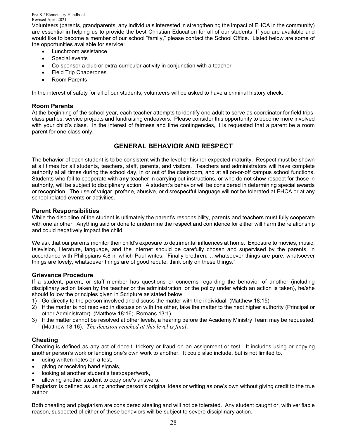Volunteers (parents, grandparents, any individuals interested in strengthening the impact of EHCA in the community) are essential in helping us to provide the best Christian Education for all of our students. If you are available and would like to become a member of our school "family," please contact the School Office. Listed below are some of the opportunities available for service:

- Lunchroom assistance
- Special events
- Co-sponsor a club or extra-curricular activity in conjunction with a teacher
- Field Trip Chaperones
- Room Parents

In the interest of safety for all of our students, volunteers will be asked to have a criminal history check.

#### **Room Parents**

At the beginning of the school year, each teacher attempts to identify one adult to serve as coordinator for field trips, class parties, service projects and fundraising endeavors. Please consider this opportunity to become more involved with your child's class. In the interest of fairness and time contingencies, it is requested that a parent be a room parent for one class only.

## **GENERAL BEHAVIOR AND RESPECT**

The behavior of each student is to be consistent with the level or his/her expected maturity. Respect must be shown at all times for all students, teachers, staff, parents, and visitors. Teachers and administrators will have complete authority at all times during the school day, in or out of the classroom, and at all on-or-off campus school functions. Students who fail to cooperate with **any** teacher in carrying out instructions, or who do not show respect for those in authority, will be subject to disciplinary action. A student's behavior will be considered in determining special awards or recognition. The use of vulgar, profane, abusive, or disrespectful language will not be tolerated at EHCA or at any school-related events or activities.

#### **Parent Responsibilities**

While the discipline of the student is ultimately the parent's responsibility, parents and teachers must fully cooperate with one another. Anything said or done to undermine the respect and confidence for either will harm the relationship and could negatively impact the child.

We ask that our parents monitor their child's exposure to detrimental influences at home. Exposure to movies, music, television, literature, language, and the internet should be carefully chosen and supervised by the parents, in accordance with Philippians 4:8 in which Paul writes, "Finally brethren, …whatsoever things are pure, whatsoever things are lovely, whatsoever things are of good repute, think only on these things."

#### **Grievance Procedure**

If a student, parent, or staff member has questions or concerns regarding the behavior of another (including disciplinary action taken by the teacher or the administration, or the policy under which an action is taken), he/she should follow the principles given in Scripture as stated below:

- 1) Go directly to the person involved and discuss the matter with the individual. (Matthew 18:15)
- 2) If the matter is not resolved in discussion with the other, take the matter to the next higher authority (Principal or other Administrator). (Matthew 18:16; Romans 13:1)
- 3) If the matter cannot be resolved at other levels, a hearing before the Academy Ministry Team may be requested. (Matthew 18:16). *The decision reached at this level is final*.

## **Cheating**

Cheating is defined as any act of deceit, trickery or fraud on an assignment or test. It includes using or copying another person's work or lending one's own work to another. It could also include, but is not limited to,

- using written notes on a test,
- giving or receiving hand signals,
- looking at another student's test/paper/work,
- allowing another student to copy one's answers.

Plagiarism is defined as using another person's original ideas or writing as one's own without giving credit to the true author.

Both cheating and plagiarism are considered stealing and will not be tolerated. Any student caught or, with verifiable reason, suspected of either of these behaviors will be subject to severe disciplinary action.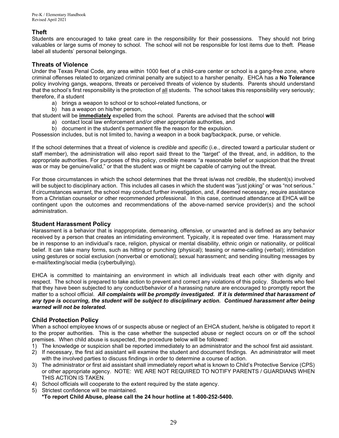## **Theft**

Students are encouraged to take great care in the responsibility for their possessions. They should not bring valuables or large sums of money to school. The school will not be responsible for lost items due to theft. Please label all students' personal belongings.

#### **Threats of Violence**

Under the Texas Penal Code, any area within 1000 feet of a child-care center or school is a gang-free zone, where criminal offenses related to organized criminal penalty are subject to a harsher penalty. EHCA has a **No Tolerance**  policy involving gangs, weapons, threats or perceived threats of violence by students. Parents should understand that the school's first responsibility is the protection of all students. The school takes this responsibility very seriously; therefore, if a student

- a) brings a weapon to school or to school-related functions, or
- b) has a weapon on his/her person,

that student will be **immediately** expelled from the school. Parents are advised that the school **will**

- a) contact local law enforcement and/or other appropriate authorities, and
- b) document in the student's permanent file the reason for the expulsion.

Possession includes, but is not limited to, having a weapon in a book bag/backpack, purse, or vehicle.

If the school determines that a threat of violence is *credible* and *specific* (i.e., directed toward a particular student or staff member), the administration will also report said threat to the "target" of the threat, and, in addition, to the appropriate authorities. For purposes of this policy, *credible* means "a reasonable belief or suspicion that the threat was or may be genuine/valid," or that the student was or might be capable of carrying out the threat.

For those circumstances in which the school determines that the threat is/was not *credible*, the student(s) involved will be subject to disciplinary action. This includes all cases in which the student was "just joking" or was "not serious." If circumstances warrant, the school may conduct further investigation, and, if deemed necessary, require assistance from a Christian counselor or other recommended professional. In this case, continued attendance at EHCA will be contingent upon the outcomes and recommendations of the above-named service provider(s) and the school administration.

#### **Student Harassment Policy**

Harassment is a behavior that is inappropriate, demeaning, offensive, or unwanted and is defined as any behavior received by a person that creates an intimidating environment. Typically, it is repeated over time. Harassment may be in response to an individual's race, religion, physical or mental disability, ethnic origin or nationality, or political belief. It can take many forms, such as hitting or punching (physical); teasing or name-calling (verbal); intimidation using gestures or social exclusion (nonverbal or emotional); sexual harassment; and sending insulting messages by e-mail/texting/social media (cyberbullying).

EHCA is committed to maintaining an environment in which all individuals treat each other with dignity and respect. The school is prepared to take action to prevent and correct any violations of this policy. Students who feel that they have been subjected to any conduct/behavior of a harassing nature are encouraged to promptly report the matter to a school official. *All complaints will be promptly investigated. If it is determined that harassment of any type is occurring, the student will be subject to disciplinary action. Continued harassment after being warned will not be tolerated.*

#### **Child Protection Policy**

When a school employee knows of or suspects abuse or neglect of an EHCA student, he/she is obligated to report it to the proper authorities. This is the case whether the suspected abuse or neglect occurs on or off the school premises. When child abuse is suspected, the procedure below will be followed:

- 1) The knowledge or suspicion shall be reported immediately to an administrator and the school first aid assistant.
- 2) If necessary, the first aid assistant will examine the student and document findings. An administrator will meet with the involved parties to discuss findings in order to determine a course of action.
- 3) The administrator or first aid assistant shall immediately report what is known to Child's Protective Service (CPS) or other appropriate agency. NOTE: WE ARE NOT REQUIRED TO NOTIFY PARENTS / GUARDIANS WHEN THIS ACTION IS TAKEN.
- 4) School officials will cooperate to the extent required by the state agency.
- 5) Strictest confidence will be maintained. **\*To report Child Abuse, please call the 24 hour hotline at 1-800-252-5400.**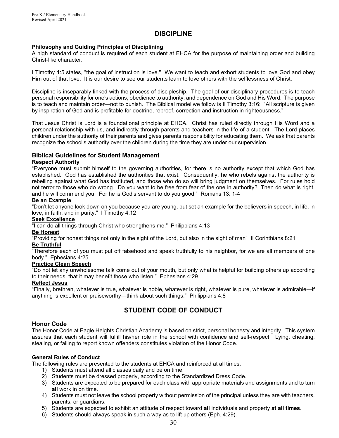## **DISCIPLINE**

#### **Philosophy and Guiding Principles of Disciplining**

A high standard of conduct is required of each student at EHCA for the purpose of maintaining order and building Christ-like character.

I Timothy 1:5 states, "the goal of instruction is love." We want to teach and exhort students to love God and obey Him out of that love. It is our desire to see our students learn to love others with the selflessness of Christ.

Discipline is inseparably linked with the process of discipleship. The goal of our disciplinary procedures is to teach personal responsibility for one's actions, obedience to authority, and dependence on God and His Word. The purpose is to teach and maintain order—not to punish. The Biblical model we follow is II Timothy 3:16: "All scripture is given by inspiration of God and is profitable for doctrine, reproof, correction and instruction in righteousness."

That Jesus Christ is Lord is a foundational principle at EHCA. Christ has ruled directly through His Word and a personal relationship with us, and indirectly through parents and teachers in the life of a student. The Lord places children under the authority of their parents and gives parents responsibility for educating them. We ask that parents recognize the school's authority over the children during the time they are under our supervision.

#### **Biblical Guidelines for Student Management**

#### **Respect Authority**

"Everyone must submit himself to the governing authorities, for there is no authority except that which God has established. God has established the authorities that exist. Consequently, he who rebels against the authority is rebelling against what God has instituted, and those who do so will bring judgment on themselves. For rules hold not terror to those who do wrong. Do you want to be free from fear of the one in authority? Then do what is right, and he will commend you. For he is God's servant to do you good." Romans 13: 1-4

#### **Be an Example**

"Don't let anyone look down on you because you are young, but set an example for the believers in speech, in life, in love, in faith, and in purity." I Timothy 4:12

#### **Seek Excellence**

"I can do all things through Christ who strengthens me." Philippians 4:13

#### **Be Honest**

"Providing for honest things not only in the sight of the Lord, but also in the sight of man" II Corinthians 8:21

#### **Be Truthful**

"Therefore each of you must put off falsehood and speak truthfully to his neighbor, for we are all members of one body." Ephesians 4:25

#### **Practice Clean Speech**

"Do not let any unwholesome talk come out of your mouth, but only what is helpful for building others up according to their needs, that it may benefit those who listen." Ephesians 4:29

#### **Reflect Jesus**

"Finally, brethren, whatever is true, whatever is noble, whatever is right, whatever is pure, whatever is admirable—if anything is excellent or praiseworthy—think about such things." Philippians 4:8

## **STUDENT CODE OF CONDUCT**

#### **Honor Code**

The Honor Code at Eagle Heights Christian Academy is based on strict, personal honesty and integrity. This system assures that each student will fulfill his/her role in the school with confidence and self-respect. Lying, cheating, stealing, or failing to report known offenders constitutes violation of the Honor Code.

#### **General Rules of Conduct**

The following rules are presented to the students at EHCA and reinforced at all times:

- 1) Students must attend all classes daily and be on time.
- 2) Students must be dressed properly, according to the Standardized Dress Code.
- 3) Students are expected to be prepared for each class with appropriate materials and assignments and to turn **all** work in on time.
- 4) Students must not leave the school property without permission of the principal unless they are with teachers, parents, or guardians.
- 5) Students are expected to exhibit an attitude of respect toward **all** individuals and property **at all times**.
- 6) Students should always speak in such a way as to lift up others (Eph. 4:29).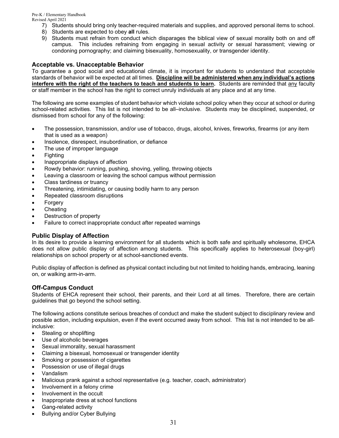- 7) Students should bring only teacher-required materials and supplies, and approved personal items to school.
- 8) Students are expected to obey **all** rules.
- 9) Students must refrain from conduct which disparages the biblical view of sexual morality both on and off campus. This includes refraining from engaging in sexual activity or sexual harassment; viewing or condoning pornography; and claiming bisexuality, homosexuality, or transgender identity.

## **Acceptable vs. Unacceptable Behavior**

To guarantee a good social and educational climate, it is important for students to understand that acceptable standards of behavior will be expected at all times. **Discipline will be administered when any individual's actions interfere with the right of the teachers to teach and students to learn.** Students are reminded that any faculty or staff member in the school has the right to correct unruly individuals at any place and at any time.

The following are some examples of student behavior which violate school policy when they occur at school or during school-related activities. This list is not intended to be all–inclusive. Students may be disciplined, suspended, or dismissed from school for any of the following:

- The possession, transmission, and/or use of tobacco, drugs, alcohol, knives, fireworks, firearms (or any item that is used as a weapon)
- Insolence, disrespect, insubordination, or defiance
- The use of improper language
- Fighting
- Inappropriate displays of affection
- Rowdy behavior: running, pushing, shoving, yelling, throwing objects
- Leaving a classroom or leaving the school campus without permission
- Class tardiness or truancy
- Threatening, intimidating, or causing bodily harm to any person
- Repeated classroom disruptions
- **Forgery**
- **Cheating**
- Destruction of property
- Failure to correct inappropriate conduct after repeated warnings

#### **Public Display of Affection**

In its desire to provide a learning environment for all students which is both safe and spiritually wholesome, EHCA does not allow public display of affection among students. This specifically applies to heterosexual (boy-girl) relationships on school property or at school-sanctioned events.

Public display of affection is defined as physical contact including but not limited to holding hands, embracing, leaning on, or walking arm-in-arm.

## **Off-Campus Conduct**

Students of EHCA represent their school, their parents, and their Lord at all times. Therefore, there are certain guidelines that go beyond the school setting.

The following actions constitute serious breaches of conduct and make the student subject to disciplinary review and possible action, including expulsion, even if the event occurred away from school. This list is not intended to be allinclusive:

- Stealing or shoplifting
- Use of alcoholic beverages
- Sexual immorality, sexual harassment
- Claiming a bisexual, homosexual or transgender identity
- Smoking or possession of cigarettes
- Possession or use of illegal drugs
- Vandalism
- Malicious prank against a school representative (e.g. teacher, coach, administrator)
- Involvement in a felony crime
- Involvement in the occult
- Inappropriate dress at school functions
- Gang-related activity
- Bullying and/or Cyber Bullying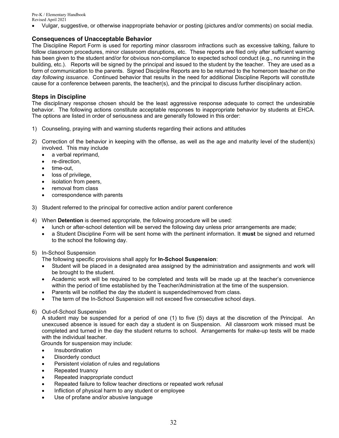• Vulgar, suggestive, or otherwise inappropriate behavior or posting (pictures and/or comments) on social media.

#### **Consequences of Unacceptable Behavior**

The Discipline Report Form is used for reporting minor classroom infractions such as excessive talking, failure to follow classroom procedures, minor classroom disruptions, etc. These reports are filed only after sufficient warning has been given to the student and/or for obvious non-compliance to expected school conduct (e.g., no running in the building, etc.). Reports will be signed by the principal and issued to the student by the teacher. They are used as a form of communication to the parents. Signed Discipline Reports are to be returned to the homeroom teacher *on the day following issuance*. Continued behavior that results in the need for additional Discipline Reports will constitute cause for a conference between parents, the teacher(s), and the principal to discuss further disciplinary action.

#### **Steps in Discipline**

The disciplinary response chosen should be the least aggressive response adequate to correct the undesirable behavior. The following actions constitute acceptable responses to inappropriate behavior by students at EHCA. The options are listed in order of seriousness and are generally followed in this order:

- 1) Counseling, praying with and warning students regarding their actions and attitudes
- 2) Correction of the behavior in keeping with the offense, as well as the age and maturity level of the student(s) involved. This may include
	- a verbal reprimand,
	- re-direction,
	- time-out,
	- loss of privilege,
	- isolation from peers,
	- removal from class
	- correspondence with parents
- 3) Student referred to the principal for corrective action and/or parent conference
- 4) When **Detention** is deemed appropriate, the following procedure will be used:
	- lunch or after-school detention will be served the following day unless prior arrangements are made;
	- a Student Discipline Form will be sent home with the pertinent information. It **must** be signed and returned to the school the following day.
- 5) In-School Suspension

The following specific provisions shall apply for **In-School Suspension**:

- Student will be placed in a designated area assigned by the administration and assignments and work will be brought to the student.
- Academic work will be required to be completed and tests will be made up at the teacher's convenience within the period of time established by the Teacher/Administration at the time of the suspension.
- Parents will be notified the day the student is suspended/removed from class.
- The term of the In-School Suspension will not exceed five consecutive school days.
- 6) Out-of-School Suspension

A student may be suspended for a period of one (1) to five (5) days at the discretion of the Principal. An unexcused absence is issued for each day a student is on Suspension. All classroom work missed must be completed and turned in the day the student returns to school. Arrangements for make-up tests will be made with the individual teacher.

Grounds for suspension may include:

- **Insubordination**
- Disorderly conduct
- Persistent violation of rules and regulations
- Repeated truancy
- Repeated inappropriate conduct
- Repeated failure to follow teacher directions or repeated work refusal
- Infliction of physical harm to any student or employee
- Use of profane and/or abusive language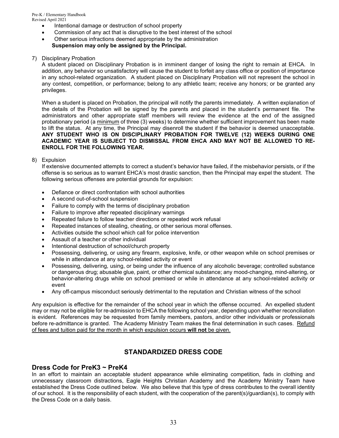- Intentional damage or destruction of school property
- Commission of any act that is disruptive to the best interest of the school
- Other serious infractions deemed appropriate by the administration **Suspension may only be assigned by the Principal.**

#### 7) Disciplinary Probation

A student placed on Disciplinary Probation is in imminent danger of losing the right to remain at EHCA. In addition, any behavior so unsatisfactory will cause the student to forfeit any class office or position of importance in any school-related organization. A student placed on Disciplinary Probation will not represent the school in any contest, competition, or performance; belong to any athletic team; receive any honors; or be granted any privileges.

When a student is placed on Probation, the principal will notify the parents immediately. A written explanation of the details of the Probation will be signed by the parents and placed in the student's permanent file. The administrators and other appropriate staff members will review the evidence at the end of the assigned probationary period (a minimum of three (3) weeks) to determine whether sufficient improvement has been made to lift the status. At any time, the Principal may disenroll the student if the behavior is deemed unacceptable. **ANY STUDENT WHO IS ON DISCIPLINARY PROBATION FOR TWELVE (12) WEEKS DURING ONE ACADEMIC YEAR IS SUBJECT TO DISMISSAL FROM EHCA AND MAY NOT BE ALLOWED TO RE-ENROLL FOR THE FOLLOWING YEAR.**

8) Expulsion

If extensive documented attempts to correct a student's behavior have failed, if the misbehavior persists, or if the offense is so serious as to warrant EHCA's most drastic sanction, then the Principal may expel the student. The following serious offenses are potential grounds for expulsion:

- Defiance or direct confrontation with school authorities
- A second out-of-school suspension
- Failure to comply with the terms of disciplinary probation
- Failure to improve after repeated disciplinary warnings
- Repeated failure to follow teacher directions or repeated work refusal
- Repeated instances of stealing, cheating, or other serious moral offenses.
- Activities outside the school which call for police intervention
- Assault of a teacher or other individual
- Intentional destruction of school/church property
- Possessing, delivering, or using any firearm, explosive, knife, or other weapon while on school premises or while in attendance at any school-related activity or event
- Possessing, delivering, using, or being under the influence of any alcoholic beverage; controlled substance or dangerous drug; abusable glue, paint, or other chemical substance; any mood-changing, mind-altering, or behavior-altering drugs while on school premised or while in attendance at any school-related activity or event
- Any off-campus misconduct seriously detrimental to the reputation and Christian witness of the school

Any expulsion is effective for the remainder of the school year in which the offense occurred. An expelled student may or may not be eligible for re-admission to EHCA the following school year, depending upon whether reconciliation is evident. References may be requested from family members, pastors, and/or other individuals or professionals before re-admittance is granted. The Academy Ministry Team makes the final determination in such cases. Refund of fees and tuition paid for the month in which expulsion occurs **will not** be given.

## **STANDARDIZED DRESS CODE**

## **Dress Code for PreK3 ~ PreK4**

In an effort to maintain an acceptable student appearance while eliminating competition, fads in clothing and unnecessary classroom distractions, Eagle Heights Christian Academy and the Academy Ministry Team have established the Dress Code outlined below. We also believe that this type of dress contributes to the overall identity of our school. It is the responsibility of each student, with the cooperation of the parent(s)/guardian(s), to comply with the Dress Code on a daily basis.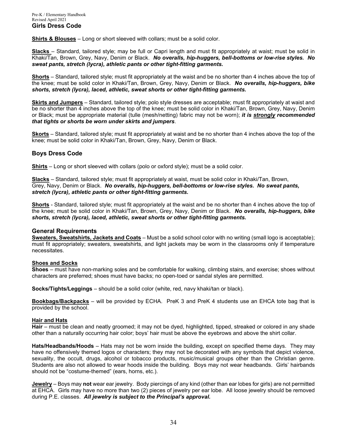**Shirts & Blouses** – Long or short sleeved with collars; must be a solid color.

**Slacks** – Standard, tailored style; may be full or Capri length and must fit appropriately at waist; must be solid in Khaki/Tan, Brown, Grey, Navy, Denim or Black. *No overalls, hip-huggers, bell-bottoms or low-rise styles. No sweat pants, stretch (lycra), athletic pants or other tight-fitting garments.*

**Shorts** – Standard, tailored style; must fit appropriately at the waist and be no shorter than 4 inches above the top of the knee; must be solid color in Khaki/Tan, Brown, Grey, Navy, Denim or Black. *No overalls, hip-huggers, bike shorts, stretch (lycra), laced, athletic, sweat shorts or other tight-fitting garments.*

**Skirts and Jumpers** – Standard, tailored style; polo style dresses are acceptable; must fit appropriately at waist and be no shorter than 4 inches above the top of the knee; must be solid color in Khaki/Tan, Brown, Grey, Navy, Denim or Black; must be appropriate material (tulle (mesh/netting) fabric may not be worn); *it is strongly recommended that tights or shorts be worn under skirts and jumpers*.

**Skorts** – Standard, tailored style; must fit appropriately at waist and be no shorter than 4 inches above the top of the knee; must be solid color in Khaki/Tan, Brown, Grey, Navy, Denim or Black.

#### **Boys Dress Code**

**Shirts** – Long or short sleeved with collars (polo or oxford style); must be a solid color.

**Slacks** – Standard, tailored style; must fit appropriately at waist, must be solid color in Khaki/Tan, Brown, Grey, Navy, Denim or Black. *No overalls, hip-huggers, bell-bottoms or low-rise styles. No sweat pants, stretch (lycra), athletic pants or other tight-fitting garments.*

**Shorts** - Standard, tailored style; must fit appropriately at the waist and be no shorter than 4 inches above the top of the knee; must be solid color in Khaki/Tan, Brown, Grey, Navy, Denim or Black. *No overalls, hip-huggers, bike shorts, stretch (lycra), laced, athletic, sweat shorts or other tight-fitting garments.*

#### **General Requirements**

**Sweaters, Sweatshirts, Jackets and Coats** – Must be a solid school color with no writing (small logo is acceptable); must fit appropriately; sweaters, sweatshirts, and light jackets may be worn in the classrooms only if temperature necessitates.

#### **Shoes and Socks**

**Shoes** – must have non-marking soles and be comfortable for walking, climbing stairs, and exercise; shoes without characters are preferred; shoes must have backs; no open-toed or sandal styles are permitted.

**Socks/Tights/Leggings** – should be a solid color (white, red, navy khaki/tan or black).

**Bookbags/Backpacks** – will be provided by ECHA. PreK 3 and PreK 4 students use an EHCA tote bag that is provided by the school.

#### **Hair and Hats**

**Hair** – must be clean and neatly groomed; it may not be dyed, highlighted, tipped, streaked or colored in any shade other than a naturally occurring hair color; boys' hair must be above the eyebrows and above the shirt collar.

**Hats/Headbands/Hoods** – Hats may not be worn inside the building, except on specified theme days. They may have no offensively themed logos or characters; they may not be decorated with any symbols that depict violence, sexuality, the occult, drugs, alcohol or tobacco products, music/musical groups other than the Christian genre. Students are also not allowed to wear hoods inside the building.Boys may not wear headbands. Girls' hairbands should not be "costume-themed" (ears, horns, etc.).

**Jewelry** – Boys may **not** wear ear jewelry. Body piercings of any kind (other than ear lobes for girls) are not permitted at EHCA. Girls may have no more than two (2) pieces of jewelry per ear lobe. All loose jewelry should be removed during P.E. classes. *All jewelry is subject to the Principal's approval.*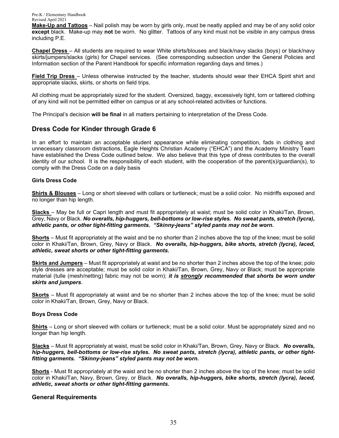**Make-Up and Tattoos** – Nail polish may be worn by girls only, must be neatly applied and may be of any solid color **except** black. Make-up may **not** be worn. No glitter. Tattoos of any kind must not be visible in any campus dress including P.E.

**Chapel Dress** – All students are required to wear White shirts/blouses and black/navy slacks (boys) or black/navy skirts/jumpers/slacks (girls) for Chapel services. (See corresponding subsection under the General Policies and Information section of the Parent Handbook for specific information regarding days and times.)

**Field Trip Dress** – Unless otherwise instructed by the teacher, students should wear their EHCA Spirit shirt and appropriate slacks, skirts, or shorts on field trips.

All clothing must be appropriately sized for the student. Oversized, baggy, excessively tight, torn or tattered clothing of any kind will not be permitted either on campus or at any school-related activities or functions.

The Principal's decision **will be final** in all matters pertaining to interpretation of the Dress Code.

## **Dress Code for Kinder through Grade 6**

In an effort to maintain an acceptable student appearance while eliminating competition, fads in clothing and unnecessary classroom distractions, Eagle Heights Christian Academy ("EHCA") and the Academy Ministry Team have established the Dress Code outlined below. We also believe that this type of dress contributes to the overall identity of our school. It is the responsibility of each student, with the cooperation of the parent(s)/guardian(s), to comply with the Dress Code on a daily basis

#### **Girls Dress Code**

**Shirts & Blouses** – Long or short sleeved with collars or turtleneck; must be a solid color. No midriffs exposed and no longer than hip length.

**Slacks** – May be full or Capri length and must fit appropriately at waist; must be solid color in Khaki/Tan, Brown, Grey, Navy or Black. *No overalls, hip-huggers, bell-bottoms or low-rise styles. No sweat pants, stretch (lycra), athletic pants, or other tight-fitting garments. "Skinny-jeans" styled pants may not be worn.*

**Shorts** – Must fit appropriately at the waist and be no shorter than 2 inches above the top of the knee; must be solid color in Khaki/Tan, Brown, Grey, Navy or Black. *No overalls, hip-huggers, bike shorts, stretch (lycra), laced, athletic, sweat shorts or other tight-fitting garments.*

**Skirts and Jumpers** – Must fit appropriately at waist and be no shorter than 2 inches above the top of the knee; polo style dresses are acceptable; must be solid color in Khaki/Tan, Brown, Grey, Navy or Black; must be appropriate material (tulle (mesh/netting) fabric may not be worn); *it is strongly recommended that shorts be worn under skirts and jumpers*.

**Skorts** – Must fit appropriately at waist and be no shorter than 2 inches above the top of the knee; must be solid color in Khaki/Tan, Brown, Grey, Navy or Black.

#### **Boys Dress Code**

**Shirts** – Long or short sleeved with collars or turtleneck; must be a solid color. Must be appropriately sized and no longer than hip length.

**Slacks** – Must fit appropriately at waist, must be solid color in Khaki/Tan, Brown, Grey, Navy or Black. *No overalls, hip-huggers, bell-bottoms or low-rise styles. No sweat pants, stretch (lycra), athletic pants, or other tightfitting garments. "Skinny-jeans" styled pants may not be worn.*

**Shorts** - Must fit appropriately at the waist and be no shorter than 2 inches above the top of the knee; must be solid color in Khaki/Tan, Navy, Brown, Grey, or Black. *No overalls, hip-huggers, bike shorts, stretch (lycra), laced, athletic, sweat shorts or other tight-fitting garments.*

#### **General Requirements**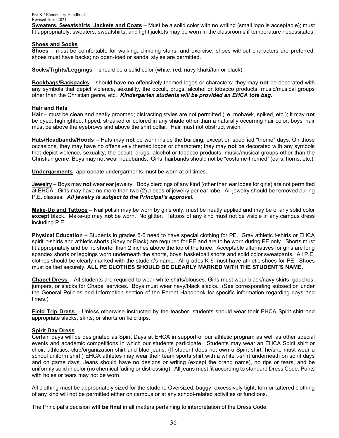**Sweaters, Sweatshirts, Jackets and Coats** – Must be a solid color with no writing (small logo is acceptable); must fit appropriately; sweaters, sweatshirts, and light jackets may be worn in the classrooms if temperature necessitates.

#### **Shoes and Socks**

**Shoes** – must be comfortable for walking, climbing stairs, and exercise; shoes without characters are preferred; shoes must have backs; no open-toed or sandal styles are permitted.

**Socks/Tights/Leggings** – should be a solid color (white, red, navy khaki/tan or black).

**Bookbags/Backpacks** – should have no offensively themed logos or characters; they may **not** be decorated with any symbols that depict violence, sexuality, the occult, drugs, alcohol or tobacco products, music/musical groups other than the Christian genre, etc. *Kindergarten students will be provided an EHCA tote bag.*

#### **Hair and Hats**

**Hair** – must be clean and neatly groomed; distracting styles are not permitted (i.e. mohawk, spiked, etc.); it may **not** be dyed, highlighted, tipped, streaked or colored in any shade other than a naturally occurring hair color; boys' hair must be above the eyebrows and above the shirt collar. Hair must not obstruct vision.

**Hats/Headbands/Hoods** – Hats may **not** be worn inside the building, except on specified "theme" days. On those occasions, they may have no offensively themed logos or characters; they may **not** be decorated with any symbols that depict violence, sexuality, the occult, drugs, alcohol or tobacco products, music/musical groups other than the Christian genre. Boys may not wear headbands. Girls' hairbands should not be "costume-themed" (ears, horns, etc.).

**Undergarments**- appropriate undergarments must be worn at all times.

**Jewelry** – Boys may **not** wear ear jewelry. Body piercings of any kind (other than ear lobes for girls) are not permitted at EHCA. Girls may have no more than two (2) pieces of jewelry per ear lobe. All jewelry should be removed during P.E. classes. *All jewelry is subject to the Principal's approval.*

**Make-Up and Tattoos** – Nail polish may be worn by girls only, must be neatly applied and may be of any solid color **except** black. Make-up may **not** be worn. No glitter. Tattoos of any kind must not be visible in any campus dress including P.E.

**Physical Education** – Students in grades 5-6 need to have special clothing for PE. Gray athletic t-shirts or EHCA spirit t-shirts and athletic shorts (Navy or Black) are required for PE and are to be worn during PE only. Shorts must fit appropriately and be no shorter than 2 inches above the top of the knee. Acceptable alternatives for girls are long spandex shorts or leggings worn underneath the shorts, boys' basketball shorts and solid color sweatpants. All P.E. clothes should be clearly marked with the student's name. All grades K-6 must have athletic shoes for PE. Shoes must be tied securely. **ALL PE CLOTHES SHOULD BE CLEARLY MARKED WITH THE STUDENT'S NAME.**

**Chapel Dress** – All students are required to wear white shirts/blouses. Girls must wear black/navy skirts, gauchos, jumpers, or slacks for Chapel services. Boys must wear navy/black slacks. (See corresponding subsection under the General Policies and Information section of the Parent Handbook for specific information regarding days and times.)

**Field Trip Dress** – Unless otherwise instructed by the teacher, students should wear their EHCA Spirit shirt and appropriate slacks, skirts, or shorts on field trips.

#### **Spirit Day Dress**

Certain days will be designated as Spirit Days at EHCA in support of our athletic program as well as other special events and academic competitions in which our students participate.Students may wear an EHCA Spirit shirt or choir, athletics, club/organization shirt and blue jeans. (If student does not own a Spirit shirt, he/she must wear a school uniform shirt.) EHCA athletes may wear their team sports shirt with a white t-shirt underneath on spirit days and on game days. Jeans should have no designs or writing (except the brand name), no rips or tears, and be uniformly solid in color (no chemical fading or distressing). All jeans must fit according to standard Dress Code. Pants with holes or tears may not be worn.

All clothing must be appropriately sized for the student. Oversized, baggy, excessively tight, torn or tattered clothing of any kind will not be permitted either on campus or at any school-related activities or functions.

The Principal's decision **will be final** in all matters pertaining to interpretation of the Dress Code.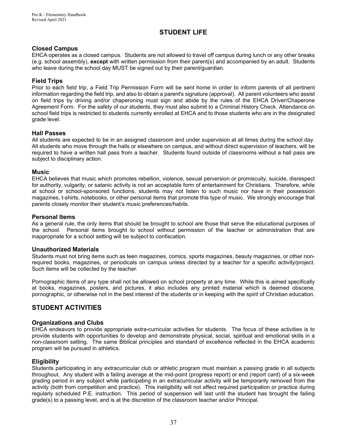## **STUDENT LIFE**

#### **Closed Campus**

EHCA operates as a closed campus. Students are not allowed to travel off campus during lunch or any other breaks (e.g. school assembly), **except** with written permission from their parent(s) and accompanied by an adult. Students who leave during the school day MUST be signed out by their parent/guardian.

#### **Field Trips**

Prior to each field trip, a Field Trip Permission Form will be sent home in order to inform parents of all pertinent information regarding the field trip, and also to obtain a parent's signature (approval). All parent volunteers who assist on field trips by driving and/or chaperoning must sign and abide by the rules of the EHCA Driver/Chaperone Agreement Form. For the safety of our students, they must also submit to a Criminal History Check. Attendance on school field trips is restricted to students currently enrolled at EHCA and to those students who are in the designated grade level.

#### **Hall Passes**

All students are expected to be in an assigned classroom and under supervision at all times during the school day. All students who move through the halls or elsewhere on campus, and without direct supervision of teachers, will be required to have a written hall pass from a teacher. Students found outside of classrooms without a hall pass are subject to disciplinary action.

#### **Music**

EHCA believes that music which promotes rebellion, violence, sexual perversion or promiscuity, suicide, disrespect for authority, vulgarity, or satanic activity is not an acceptable form of entertainment for Christians. Therefore, while at school or school-sponsored functions, students may not listen to such music nor have in their possession magazines, t-shirts, notebooks, or other personal items that promote this type of music. We strongly encourage that parents closely monitor their student's music preferences/habits.

#### **Personal Items**

As a general rule, the only items that should be brought to school are those that serve the educational purposes of the school. Personal items brought to school without permission of the teacher or administration that are inappropriate for a school setting will be subject to confiscation.

#### **Unauthorized Materials**

Students must not bring items such as teen magazines, comics, sports magazines, beauty magazines, or other nonrequired books, magazines, or periodicals on campus unless directed by a teacher for a specific activity/project. Such items will be collected by the teacher.

Pornographic items of any type shall not be allowed on school property at any time. While this is aimed specifically at books, magazines, posters, and pictures, it also includes any printed material which is deemed obscene, pornographic, or otherwise not in the best interest of the students or in keeping with the spirit of Christian education.

## **STUDENT ACTIVITIES**

#### **Organizations and Clubs**

EHCA endeavors to provide appropriate extra-curricular activities for students. The focus of these activities is to provide students with opportunities to develop and demonstrate physical, social, spiritual and emotional skills in a non-classroom setting. The same Biblical principles and standard of excellence reflected in the EHCA academic program will be pursued in athletics.

#### **Eligibility**

Students participating in any extracurricular club or athletic program must maintain a passing grade in all subjects throughout. Any student with a failing average at the mid-point (progress report) or end (report card) of a six-week grading period in any subject while participating in an extracurricular activity will be temporarily removed from the activity (both from competition and practice). This ineligibility will not affect required participation or practice during regularly scheduled P.E. instruction. This period of suspension will last until the student has brought the failing grade(s) to a passing level, and is at the discretion of the classroom teacher and/or Principal.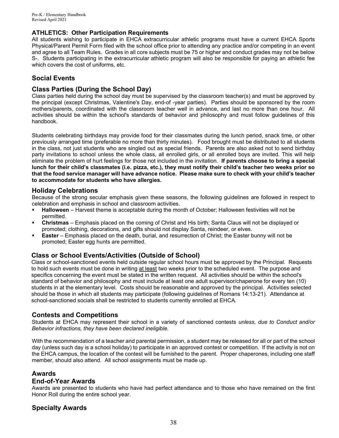## **ATHLETICS: Other Participation Requirements**

All students wishing to participate in EHCA extracurricular athletic programs must have a current EHCA Sports Physical/Parent Permit Form filed with the school office prior to attending any practice and/or competing in an event and agree to all Team Rules. Grades in all core subjects must be 75 or higher and conduct grades may not be below S-. Students participating in the extracurricular athletic program will also be responsible for paying an athletic fee which covers the cost of uniforms, etc.

## **Social Events**

## **Class Parties (During the School Day)**

Class parties held during the school day must be supervised by the classroom teacher(s) and must be approved by the principal (except Christmas, Valentine's Day, end-of -year parties). Parties should be sponsored by the room mothers/parents, coordinated with the classroom teacher well in advance, and last no more than one hour. All activities should be within the school's standards of behavior and philosophy and must follow guidelines of this handbook.

Students celebrating birthdays may provide food for their classmates during the lunch period, snack time, or other previously arranged time (preferable no more than thirty minutes). Food brought must be distributed to all students in the class, not just students who are singled out as special friends. Parents are also asked not to send birthday party invitations to school unless the whole class, all enrolled girls, or all enrolled boys are invited. This will help eliminate the problem of hurt feelings for those not included in the invitation. **If parents choose to bring a special lunch for their child's classmates (i.e. pizza, etc.), they must notify their child's teacher two weeks prior so that the food service manager will have advance notice. Please make sure to check with your child's teacher to accommodate for students who have allergies.**

## **Holiday Celebrations**

Because of the strong secular emphasis given these seasons, the following guidelines are followed in respect to celebration and emphasis in school and classroom activities.

- **Halloween** Harvest theme is acceptable during the month of October; Halloween festivities will not be permitted.
- **Christmas** Emphasis placed on the coming of Christ and His birth; Santa Claus will not be displayed or promoted; clothing, decorations, and gifts should not display Santa, reindeer, or elves.
- **Easter** Emphasis placed on the death, burial, and resurrection of Christ; the Easter bunny will not be promoted; Easter egg hunts are permitted.

## **Class or School Events/Activities (Outside of School)**

Class or school-sanctioned events held outside regular school hours must be approved by the Principal. Requests to hold such events must be done in writing at least two weeks prior to the scheduled event. The purpose and specifics concerning the event must be stated in the written request. All activities should be within the school's standard of behavior and philosophy and must include at least one adult supervisor/chaperone for every ten (10) students in at the elementary level. Costs should be reasonable and approved by the principal. Activities selected should be those in which all students may participate (following guidelines of Romans 14:13-21).Attendance at school-sanctioned socials shall be restricted to students currently enrolled at EHCA.

## **Contests and Competitions**

Students at EHCA may represent their school in a variety of sanctioned contests *unless, due to Conduct and/or Behavior infractions, they have been declared ineligible.*

With the recommendation of a teacher and parental permission, a student may be released for all or part of the school day (unless such day is a school holiday) to participate in an approved contest or competition. If the activity is not on the EHCA campus, the location of the contest will be furnished to the parent. Proper chaperones, including one staff member, should also attend. All school assignments must be made up.

## **Awards**

## **End-of-Year Awards**

Awards are presented to students who have had perfect attendance and to those who have remained on the first Honor Roll during the entire school year.

## **Specialty Awards**